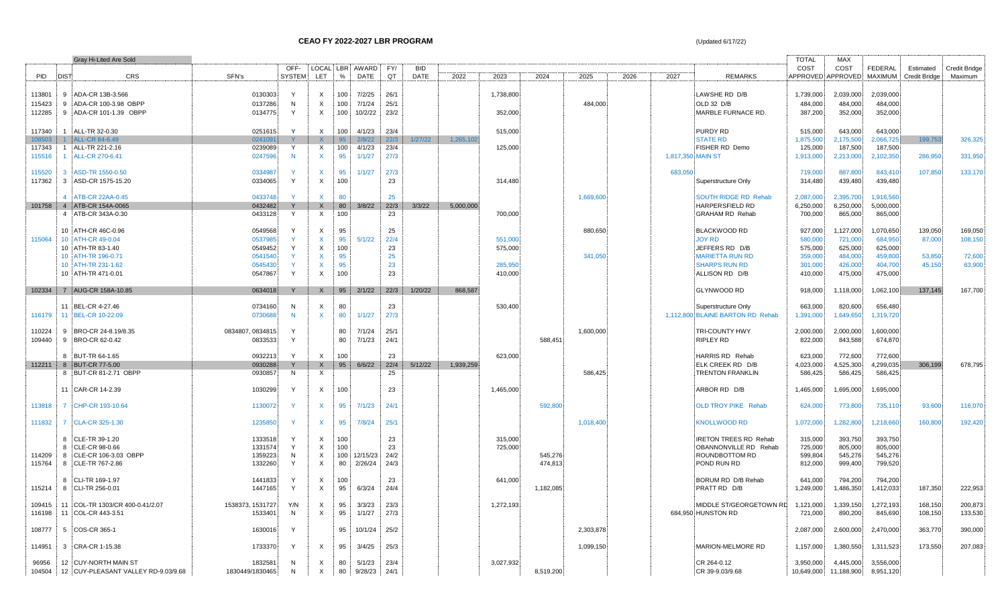|                  |              | Gray Hi-Lited Are Sold                                                 |                            |               |                                           |            |                     |              |            |           |           |           |           |      |                   |                                    | <b>TOTAL</b>         | <b>MAX</b>                         |                        |                      |                      |
|------------------|--------------|------------------------------------------------------------------------|----------------------------|---------------|-------------------------------------------|------------|---------------------|--------------|------------|-----------|-----------|-----------|-----------|------|-------------------|------------------------------------|----------------------|------------------------------------|------------------------|----------------------|----------------------|
|                  |              |                                                                        |                            | OFF-          |                                           |            | LOCAL LBR AWARD FY/ |              | <b>BID</b> |           |           |           |           |      |                   |                                    | COST                 | COST                               | <b>FEDERAL</b>         | Estimated            | <b>Credit Bridge</b> |
| <b>PID</b>       | <b>DIST</b>  | <b>CRS</b>                                                             | SFN's                      | <b>SYSTEM</b> | LET                                       | $\%$       | <b>DATE</b>         | QT           | DATE       | 2022      | 2023      | 2024      | 2025      | 2026 | 2027              | <b>REMARKS</b>                     |                      | APPROVED APPROVED MAXIMUM          |                        | <b>Credit Bridge</b> | Maximum              |
|                  |              | 9 ADA-CR 13B-3.566                                                     |                            | Y             |                                           |            |                     |              |            |           |           |           |           |      |                   |                                    |                      |                                    |                        |                      |                      |
| 113801<br>115423 |              | 9 ADA-CR 100-3.98 OBPP                                                 | 0130303<br>0137286         | N             | X<br>$\mathsf{X}$                         | 100<br>100 | 7/2/25<br>7/1/24    | 26/1<br>25/1 |            |           | 1,738,800 |           | 484,000   |      |                   | LAWSHE RD D/B<br>OLD 32 D/B        | 1,739,000<br>484,000 | 2,039,000<br>484,000               | 2,039,000<br>484,000   |                      |                      |
| 112285           |              | 9 ADA-CR 101-1.39 OBPP                                                 | 0134775                    | Y             | $\times$                                  | 100        | 10/2/22             | 23/2         |            |           | 352,000   |           |           |      |                   | MARBLE FURNACE RD.                 | 387,200              | 352,000                            | 352,000                |                      |                      |
|                  |              |                                                                        |                            |               |                                           |            |                     |              |            |           |           |           |           |      |                   |                                    |                      |                                    |                        |                      |                      |
| 117340           | $\mathbf{1}$ | ALL-TR 32-0.30                                                         | 0251615                    | Y             | $\mathsf{X}$                              | 100        | 4/1/23              | 23/4         |            |           | 515,000   |           |           |      |                   | <b>PURDY RD</b>                    | 515,000              | 643,000                            | 643,000                |                      |                      |
| 108503           |              | 1 ALL-CR 84-6.49                                                       | 0241091                    |               | $\mathsf{X}$                              | 95         | 2/8/22              | 22/3         | 1/27/22    | 1,265,102 |           |           |           |      |                   | <b>STATE RD</b>                    | 1,875,500            | 2,175,500                          | 2,066,725              | 199,753              | 326,325              |
| 117343           |              | 1 ALL-TR 221-2.16                                                      | 0239089                    | Y             | $\mathsf{X}$                              | 100        | 4/1/23              | 23/4         |            |           | 125.000   |           |           |      |                   | FISHER RD Demo                     | 125,000              | 187,500                            | 187.500                |                      |                      |
| 115516           | $\mathbf{1}$ | ALL-CR 270-6.41                                                        | 0247596                    | N             | $\mathsf{X}$                              | 95         | 1/1/27              | 27/3         |            |           |           |           |           |      | 1,817,350 MAIN ST |                                    | 1,913,000            | 2,213,000                          | 2,102,350              | 286,950              | 331,950              |
|                  |              |                                                                        |                            |               |                                           |            |                     |              |            |           |           |           |           |      |                   |                                    |                      |                                    |                        |                      |                      |
| 115520           |              | 3 ASD-TR 1550-0.50                                                     | 0334987                    | <b>Y</b>      | $\mathsf{X}$                              | 95         | 1/1/27              | 27/3         |            |           |           |           |           |      | 683.050           |                                    | 719,000              | 887,800                            | 843,410                | 107,850              | 133,170              |
| 117362           |              | 3 ASD-CR 1575-15.20                                                    | 0334065                    | Y             | $\mathsf{X}$                              | 100        |                     | 23           |            |           | 314,480   |           |           |      |                   | Superstructure Only                | 314,480              | 439,480                            | 439,480                |                      |                      |
|                  |              |                                                                        |                            |               |                                           |            |                     |              |            |           |           |           |           |      |                   |                                    |                      |                                    |                        |                      |                      |
|                  |              | 4 ATB-CR 22AA-0.45                                                     | 0433748                    | Y             | $\mathsf{X}$                              | 80         |                     | 25           |            |           |           |           | 1,669,600 |      |                   | <b>SOUTH RIDGE RD Rehab</b>        | 2,087,000            | 2,395,700                          | 1,916,560              |                      |                      |
| 101758           |              | 4 ATB-CR 154A-0065                                                     | 0432482                    | Y             | $\mathsf{X}$                              | 80         | 3/8/22              | 22/3         | 3/3/22     | 5,000,000 |           |           |           |      |                   | HARPERSFIELD RD                    | 6,250,000            | 6,250,000                          | 5,000,000              |                      |                      |
|                  |              | 4 ATB-CR 343A-0.30                                                     | 0433128                    | Y             | $\mathsf{X}$                              | 100        |                     | 23           |            |           | 700,000   |           |           |      |                   | <b>GRAHAM RD Rehab</b>             | 700,000              | 865,000                            | 865,000                |                      |                      |
|                  |              | 10 ATH-CR 46C-0.96                                                     | 0549568                    | Y             | X                                         | 95         |                     | 25           |            |           |           |           | 880,650   |      |                   | <b>BLACKWOOD RD</b>                | 927,000              | 1,127,000                          | 1,070,650              | 139,050              | 169,050              |
| 115064           |              | 10 ATH-CR 49-0.04                                                      | 0537985                    |               | $\mathsf{x}$                              | 95         | 5/1/22              | 22/4         |            |           | 551,000   |           |           |      |                   | <b>JOY RD</b>                      | 580,000              | 721,000                            | 684,950                | 87,000               | 108,150              |
|                  |              | 10 ATH-TR 83-1.40                                                      | 0549452                    | Y             | $\mathsf{X}$                              | 100        |                     | 23           |            |           | 575,000   |           |           |      |                   | JEFFERS RD D/B                     | 575,000              | 625,000                            | 625,000                |                      |                      |
|                  |              | 10 ATH-TR 196-0.71                                                     | 0541540                    |               | $\mathsf{X}$                              | 95         |                     | 25           |            |           |           |           | 341,050   |      |                   | <b>MARIETTA RUN RD</b>             | 359,000              | 484,000                            | 459,800                | 53,850               | 72,600               |
|                  |              | 10 ATH-TR 231-1.62                                                     | 0545430                    |               | $\mathsf{x}$                              | 95         |                     | 23           |            |           | 285,950   |           |           |      |                   | <b>SHARPS RUN RD</b>               | 301,000              | 426,000                            | 404,700                | 45,150               | 63.900               |
|                  |              | 10 ATH-TR 471-0.01                                                     | 0547867                    | Y             | $\mathsf{X}$                              | 100        |                     | 23           |            |           | 410,000   |           |           |      |                   | ALLISON RD D/B                     | 410,000              | 475,000                            | 475,000                |                      |                      |
|                  |              |                                                                        |                            |               |                                           |            |                     |              |            |           |           |           |           |      |                   |                                    |                      |                                    |                        |                      |                      |
| 102334           |              | 7 AUG-CR 158A-10.85                                                    | 0634018                    | Y             | $\mathsf{X}$                              | 95         | 2/1/22              | 22/3         | 1/20/22    | 868,587   |           |           |           |      |                   | <b>GLYNWOOD RD</b>                 | 918,000              | 1,118,000                          | 1,062,100              | 137,145              | 167,700              |
|                  |              |                                                                        |                            |               |                                           |            |                     |              |            |           |           |           |           |      |                   |                                    |                      |                                    |                        |                      |                      |
|                  |              | 11 BEL-CR 4-27.46                                                      | 0734160                    | N             | $\mathsf{X}$                              | 80         |                     | 23           |            |           | 530,400   |           |           |      |                   | Superstructure Only                | 663,000              | 820,600                            | 656,480                |                      |                      |
| 116179           |              | 11 BEL-CR 10-22.09                                                     | 0730688                    | N             | $\mathsf{X}$                              | 80         | 1/1/27              | 27/3         |            |           |           |           |           |      |                   | 1,112,800 BLAINE BARTON RD Rehab   | 1,391,000            | 1,649,650                          | 1,319,720              |                      |                      |
| 110224           |              | 9 BRO-CR 24-8.19/8.35                                                  | 0834807, 0834815           | Y             |                                           | 80         | 7/1/24              | 25/1         |            |           |           |           | 1,600,000 |      |                   | <b>TRI-COUNTY HWY</b>              | 2,000,000            | 2,000,000                          | 1,600,000              |                      |                      |
| 109440           |              | 9 BRO-CR 62-0.42                                                       | 0833533                    | Y             |                                           | 80         | 7/1/23              | 24/1         |            |           |           | 588,451   |           |      |                   | <b>RIPLEY RD</b>                   | 822,000              | 843,588                            | 674,870                |                      |                      |
|                  |              |                                                                        |                            |               |                                           |            |                     |              |            |           |           |           |           |      |                   |                                    |                      |                                    |                        |                      |                      |
|                  |              | 8 BUT-TR 64-1.65                                                       | 0932213                    | Y             | X                                         | 100        |                     | 23           |            |           | 623,000   |           |           |      |                   | HARRIS RD Rehab                    | 623,000              | 772,600                            | 772,600                |                      |                      |
| 112211           |              | 8 BUT-CR 77-5.00                                                       | 0930288                    |               | $\mathsf{X}$                              | 95         | 6/6/22              | 22/4         | 5/12/22    | 1,939,259 |           |           |           |      |                   | ELK CREEK RD D/B                   | 4,023,000            | 4,525,300                          | 4,299,035              | 306.199              | 678,795              |
|                  |              | 8 BUT-CR 81-2.71 OBPP                                                  | 0930857                    | N             | $\boldsymbol{\mathsf{X}}$                 |            |                     | 25           |            |           |           |           | 586,425   |      |                   | <b>TRENTON FRANKLIN</b>            | 586,425              | 586,425                            | 586,425                |                      |                      |
|                  |              |                                                                        |                            |               |                                           |            |                     |              |            |           |           |           |           |      |                   |                                    |                      |                                    |                        |                      |                      |
|                  |              | 11 CAR-CR 14-2.39                                                      | 1030299                    | Y             | $\times$                                  | 100        |                     | 23           |            |           | 1,465,000 |           |           |      |                   | ARBOR RD D/B                       | 1,465,000            | 1,695,000                          | 1,695,000              |                      |                      |
| 113818           |              | 7 CHP-CR 193-10.64                                                     | 1130072                    | Y             | $\mathsf{X}$                              | 95         | 7/1/23              | 24/1         |            |           |           | 592,800   |           |      |                   | <b>OLD TROY PIKE Rehab</b>         | 624,000              | 773,800                            | 735,110                | 93,600               | 116,070              |
|                  |              |                                                                        |                            |               |                                           |            |                     |              |            |           |           |           |           |      |                   |                                    |                      |                                    |                        |                      |                      |
| 111832           |              | 7 CLA-CR 325-1.30                                                      | 1235850                    | Y             | $\mathsf{x}$                              | 95         | 7/8/24              | 25/1         |            |           |           |           | 1,018,400 |      |                   | <b>KNOLLWOOD RD</b>                | 1,072,000            | 1,282,800                          | 1,218,660              | 160,800              | 192,420              |
|                  |              |                                                                        |                            |               |                                           |            |                     |              |            |           |           |           |           |      |                   |                                    |                      |                                    |                        |                      |                      |
|                  |              | 8 CLE-TR 39-1.20                                                       | 1333518                    |               | X                                         | 100        |                     | 23           |            |           | 315,000   |           |           |      |                   | <b>IRETON TREES RD Rehab</b>       | 315,000              | 393,750                            | 393,750                |                      |                      |
|                  |              | 8 CLE-CR 98-0.66                                                       | 1331574                    | Y             | $\mathsf{X}$                              | 100        |                     | 23           |            |           | 725.000   |           |           |      |                   | OBANNONVILLE RD Rehab              | 725.000              | 805,000                            | 805,000                |                      |                      |
| 114209           |              | 8 CLE-CR 106-3.03 OBPP                                                 | 1359223                    | N             | $\mathsf{X}$                              | 100        | 12/15/23            | 24/2         |            |           |           | 545,276   |           |      |                   | ROUNDBOTTOM RD                     | 599,804              | 545,276                            | 545,276                |                      |                      |
| 115764           |              | 8 CLE-TR 767-2.86                                                      | 1332260                    | Y             | $\mathsf{X}$                              | 80         | 2/26/24             | 24/3         |            |           |           | 474,813   |           |      |                   | POND RUN RD                        | 812,000              | 999,400                            | 799,520                |                      |                      |
|                  |              |                                                                        |                            |               |                                           |            |                     |              |            |           |           |           |           |      |                   |                                    |                      |                                    |                        |                      |                      |
| 115214           |              | 8 CLI-TR 169-1.97<br>8 CLI-TR 256-0.01                                 | 1441833<br>1447165         | Y             | $\times$<br>$\times$                      | 100<br>95  | 6/3/24              | 23<br>24/4   |            |           | 641,000   | 1,182,085 |           |      |                   | BORUM RD D/B Rehab<br>PRATT RD D/B | 641,000<br>1,249,000 | 794,200<br>1,486,350               | 794,200<br>1,412,033   | 187,350              | 222,953              |
|                  |              |                                                                        |                            |               |                                           |            |                     |              |            |           |           |           |           |      |                   |                                    |                      |                                    |                        |                      |                      |
| 109415           |              | 11 COL-TR 1303/CR 400-0.41/2.07                                        | 1538373, 1531727           | Y/N           | $\mathsf{X}$                              | 95         | 3/3/23              | 23/3         |            |           | 1,272,193 |           |           |      |                   | MIDDLE ST/GEORGETOWN RD            | 1,121,000            | 1,339,150                          | 1,272,193              | 168,150              | 200,873              |
| 116198           |              | 11 COL-CR 443-3.51                                                     | 1533401                    | N             | $\times$                                  | 95         | 1/1/27              | 27/3         |            |           |           |           |           |      |                   | 684.950 HUNSTON RD                 | 721,000              | 890,200                            | 845,690                | 108,150              | 133,530              |
|                  |              |                                                                        |                            |               |                                           |            |                     |              |            |           |           |           |           |      |                   |                                    |                      |                                    |                        |                      |                      |
| 108777           |              | 5 COS-CR 365-1                                                         | 1630016                    | Y             |                                           | 95         | 10/1/24             | 25/2         |            |           |           |           | 2,303,878 |      |                   |                                    | 2,087,000            | 2,600,000                          | 2,470,000              | 363,770              | 390,000              |
|                  |              |                                                                        |                            |               |                                           |            |                     |              |            |           |           |           |           |      |                   |                                    |                      |                                    |                        |                      |                      |
| 114951           |              | 3 CRA-CR 1-15.38                                                       | 1733370                    | Y             | $\times$                                  | 95         | 3/4/25              | 25/3         |            |           |           |           | 1,099,150 |      |                   | MARION-MELMORE RD                  | 1,157,000            | 1,380,550                          | 1,311,523              | 173,550              | 207,083              |
|                  |              |                                                                        |                            |               |                                           |            |                     |              |            |           |           |           |           |      |                   |                                    |                      |                                    |                        |                      |                      |
| 96956            |              | 12 CUY-NORTH MAIN ST<br>104504   12   CUY-PLEASANT VALLEY RD-9.03/9.68 | 1832581<br>1830449/1830465 | N<br>N        | $\boldsymbol{\mathsf{X}}$<br>$\mathsf{X}$ | 80<br>80   | 5/1/23<br>9/28/23   | 23/4<br>24/1 |            |           | 3,027,932 | 8,519,200 |           |      |                   | CR 264-0.12<br>CR 39-9.03/9.68     | 3,950,000            | 4,445,000<br>10,649,000 11,188,900 | 3,556,000<br>8,951,120 |                      |                      |
|                  |              |                                                                        |                            |               |                                           |            |                     |              |            |           |           |           |           |      |                   |                                    |                      |                                    |                        |                      |                      |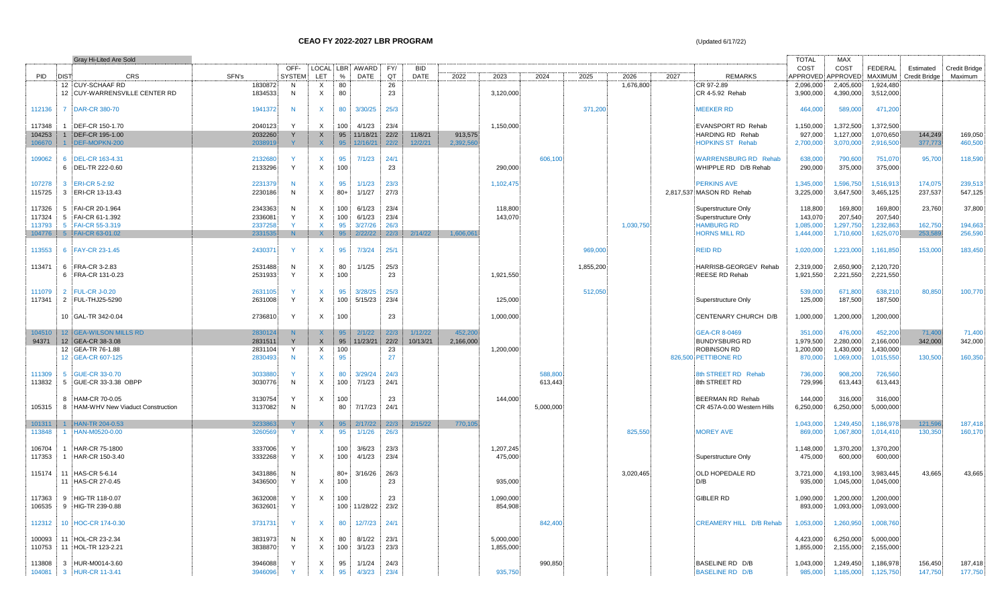|                  | Gray Hi-Lited Are Sold                    |                    |                   |                           |                  |                   |              |             |           |           |                    |           |           |      |                                           | <b>TOTAL</b>       | <b>MAX</b>         |                    |                      |               |
|------------------|-------------------------------------------|--------------------|-------------------|---------------------------|------------------|-------------------|--------------|-------------|-----------|-----------|--------------------|-----------|-----------|------|-------------------------------------------|--------------------|--------------------|--------------------|----------------------|---------------|
|                  |                                           |                    | OFF-              |                           |                  | LOCAL LBR AWARD   | FY/          | <b>BID</b>  |           |           |                    |           |           |      |                                           | COST               | COST               | <b>FEDERAL</b>     | Estimated            | Credit Bridge |
| PID              | CRS<br><b>DIST</b>                        | SFN's              | <b>SYSTEM</b>     | <b>LET</b>                | $\frac{0}{6}$    | DATE              | QT           | <b>DATE</b> | 2022      | 2023      | 2024               | 2025      | 2026      | 2027 | <b>REMARKS</b>                            |                    | APPROVED APPROVED  | MAXIMUM            | <b>Credit Bridge</b> | Maximum       |
|                  | 12 CUY-SCHAAF RD                          | 1830872            | N,                | X                         | 80               |                   | 26           |             |           |           |                    |           | 1,676,800 |      | CR 97-2.89                                | 2,096,000          | 2,405,600          | 1,924,480          |                      |               |
|                  | 12 CUY-WARRENSVILLE CENTER RD             | 1834533            | N                 | $\boldsymbol{\mathsf{X}}$ | 80               |                   | 23           |             |           | 3,120,000 |                    |           |           |      | CR 4-5.92 Rehab                           | 3,900,000          | 4,390,000          | 3,512,000          |                      |               |
| 112136           | 7 DAR-CR 380-70                           | 1941372            | N                 | X.                        |                  | 80 3/30/25 25/3   |              |             |           |           |                    | 371,200   |           |      | <b>MEEKER RD</b>                          | 464,000            | 589,000            | 471,200            |                      |               |
| 117348           | 1 DEF-CR 150-1.70                         | 2040123            | Y                 | X                         | 100 <sup>1</sup> | 4/1/23            | 23/4         |             |           | 1,150,000 |                    |           |           |      | <b>EVANSPORT RD Rehab</b>                 | 1,150,000          | 1,372,500          | 1,372,500          |                      |               |
| 104253           | 1 DEF-CR 195-1.00                         | 2032260            | Y                 | $\mathsf X$               | 95               | 11/18/21          | 22/2         | 11/8/21     | 913,575   |           |                    |           |           |      | HARDING RD Rehab                          | 927,000            | 1,127,000          | 1,070,650          | 144,249              | 169,050       |
| 106670           | 1 DEF-MOPKN-200                           | 2038919            |                   | $\mathsf{X}$              | 95               | 12/16/21          | 22/2         | 12/2/21     | 2,392,56  |           |                    |           |           |      | <b>HOPKINS ST Rehab</b>                   | 2,700,000          | 3,070,000          | 2,916,500          | 377,773              | 460,500       |
|                  |                                           |                    |                   |                           |                  |                   |              |             |           |           |                    |           |           |      |                                           |                    |                    |                    |                      |               |
| 109062           | 6 DEL-CR 163-4.31                         | 2132680            | <b>Y</b>          | $\mathsf{x}$              | 95               | 7/1/23            | 24/1         |             |           |           | 606,100            |           |           |      | <b>WARRENSBURG RD Rehab</b>               | 638,000            | 790,600            | 751,070            | 95,700               | 118,590       |
|                  | 6 DEL-TR 222-0.60                         | 2133296            | Y                 | X                         | 100              |                   | 23           |             |           | 290,000   |                    |           |           |      | WHIPPLE RD D/B Rehab                      | 290,000            | 375,000            | 375,000            |                      |               |
| 107278           | 3 ERI-CR 5-2.92                           | 2231379            | N                 | X                         | 95               | 1/1/23            | 23/3         |             |           | 1,102,475 |                    |           |           |      | <b>PERKINS AVE</b>                        | 1,345,000          | 1,596,750          | 1,516,913          | 174,075              | 239,513       |
| 115725           | 3 ERI-CR 13-13.43                         | 2230186            | N                 | $\times$                  | $80+$            | 1/1/27            | 27/3         |             |           |           |                    |           |           |      | 2,817,537 MASON RD Rehab                  | 3,225,000          | 3,647,500          | 3,465,125          | 237,537              | 547,125       |
|                  |                                           |                    |                   |                           |                  |                   |              |             |           |           |                    |           |           |      |                                           |                    |                    |                    |                      |               |
| 117326           | 5 FAI-CR 20-1.964                         | 2343363            | N                 | X                         | 100              | 6/1/23            | 23/4         |             |           | 118,800   |                    |           |           |      | Superstructure Only                       | 118,800            | 169,800            | 169,800            | 23,760               | 37,800        |
| 117324           | 5 FAI-CR 61-1.392                         | 2336081            | Y                 | X                         | 100              | 6/1/23            | 23/4         |             |           | 143,070   |                    |           |           |      | Superstructure Only                       | 143,070            | 207,540            | 207,540            |                      |               |
| 113793           | 5 FAI-CR 55-3.319                         | 2337258            | $\vee$            | $\mathsf{X}$              | 95               | 3/27/26           | 26/3         |             |           |           |                    |           | 1,030,750 |      | <b>HAMBURG RD</b>                         | 1,085,000          | 1,297,750          | 1,232,863          | 162,750              | 194,663       |
| 104776           | 5 FAI-CR 63-01.02                         | 2331535            | N                 | $\mathsf{X}$              | 95               | 2/22/22           | 22/3         | 2/14/22     | 1,606,06  |           |                    |           |           |      | <b>HORNS MILL RD</b>                      | 1,444,000          | 1,710,600          | 1,625,070          | 253,589              | 256,590       |
| 113553           | 6 FAY-CR 23-1.45                          | 2430371            | $\vee$            | $\mathsf{X}$              | 95               | 7/3/24            | 25/1         |             |           |           |                    | 969,000   |           |      | <b>REID RD</b>                            | 1,020,000          | 1,223,000          | 1,161,850          | 153,000              | 183,450       |
|                  |                                           |                    |                   |                           |                  |                   |              |             |           |           |                    |           |           |      |                                           |                    |                    |                    |                      |               |
| 113471           | 6 FRA-CR 3-2.83                           | 2531488            | N                 | X                         | 80               | 1/1/25            | 25/3         |             |           |           |                    | 1,855,200 |           |      | HARRISB-GEORGEV Rehab                     | 2,319,000          | 2,650,900          | 2,120,720          |                      |               |
|                  | 6 FRA-CR 131-0.23                         | 2531933            | Y                 | $\mathsf{X}$              | 100              |                   | 23           |             |           | 1,921,550 |                    |           |           |      | <b>REESE RD Rehab</b>                     | 1,921,550          | 2,221,550          | 2,221,550          |                      |               |
|                  |                                           |                    |                   |                           |                  |                   |              |             |           |           |                    |           |           |      |                                           |                    |                    |                    |                      |               |
| 111079           | 2 FUL-CR J-0.20                           | 2631105            |                   | X                         | 95               | 3/28/25           | 25/3         |             |           |           |                    | 512,050   |           |      |                                           | 539,000            | 671,800            | 638,210            | 80,850               | 100,770       |
| 117341           | 2 FUL-THJ25-5290                          | 2631008            | Y                 | X                         | 100              | 5/15/23           | 23/4         |             |           | 125,000   |                    |           |           |      | Superstructure Only                       | 125,000            | 187,500            | 187,500            |                      |               |
|                  | 10 GAL-TR 342-0.04                        | 2736810            | $\mathsf{Y}$      | X                         | 100              |                   | 23           |             |           | 1,000,000 |                    |           |           |      | CENTENARY CHURCH D/B                      | 1,000,000          | 1,200,000          | 1,200,000          |                      |               |
|                  |                                           |                    |                   |                           |                  |                   |              |             |           |           |                    |           |           |      |                                           |                    |                    |                    |                      |               |
| 104510           | 12 GEA-WILSON MILLS RD                    | 2830124            | N                 | X.                        | 95               | 2/1/22            | 22/3         | 1/12/22     | 452,200   |           |                    |           |           |      | <b>GEA-CR 8-0469</b>                      | 351,000            | 476,000            | 452,200            | 71,400               | 71,400        |
| 94371            | 12 GEA-CR 38-3.08                         | 2831511            | Y                 | $\mathsf X$               | 95               | 11/23/21          | 22/2         | 10/13/21    | 2,166,000 |           |                    |           |           |      | <b>BUNDYSBURG RD</b>                      | 1,979,500          | 2,280,000          | 2,166,000          | 342,000              | 342,000       |
|                  | 12 GEA-TR 76-1.88                         | 2831104            | Y                 | X                         | 100              |                   | 23           |             |           | 1,200,000 |                    |           |           |      | <b>ROBINSON RD</b>                        | 1,200,000          | 1,430,000          | 1,430,000          |                      |               |
|                  | 12 GEA-CR 607-125                         | 2830493            | N                 | $\mathsf{x}$              | 95               |                   | 27           |             |           |           |                    |           |           |      | 826,500 PETTIBONE RD                      | 870,000            | 1,069,000          | 1,015,550          | 130,500              | 160,350       |
|                  |                                           |                    |                   |                           |                  |                   |              |             |           |           |                    |           |           |      |                                           |                    |                    |                    |                      |               |
| 111309<br>113832 | 5 GUE-CR 33-0.70<br>5 GUE-CR 33-3.38 OBPP | 3033880<br>3030776 | N                 | X<br>$\mathsf{X}$         | 80<br>100        | 3/29/24<br>7/1/23 | 24/3<br>24/1 |             |           |           | 588,800<br>613,443 |           |           |      | 8th STREET RD Rehab<br>8th STREET RD      | 736,000<br>729,996 | 908,200<br>613,443 | 726,560<br>613,443 |                      |               |
|                  |                                           |                    |                   |                           |                  |                   |              |             |           |           |                    |           |           |      |                                           |                    |                    |                    |                      |               |
|                  | 8 HAM-CR 70-0.05                          | 3130754            | Y                 | X                         | 100              |                   | 23           |             |           | 144,000   |                    |           |           |      | <b>BEERMAN RD Rehab</b>                   | 144,000            | 316,000            | 316,000            |                      |               |
| 105315           | HAM-WHV New Viaduct Construction<br>8     | 3137082            | N                 |                           | 80               | 7/17/23           | 24/1         |             |           |           | 5,000,000          |           |           |      | CR 457A-0.00 Western Hills                | 6,250,000          | 6,250,000          | 5,000,000          |                      |               |
|                  |                                           |                    |                   |                           |                  |                   |              |             |           |           |                    |           |           |      |                                           |                    |                    |                    |                      |               |
| 101311           | 1 HAN-TR 204-0.53                         | 3233863            |                   | $\mathsf{X}$              | 95               | 2/17/22 22/3      |              | 2/15/22     | 770,105   |           |                    |           |           |      |                                           | 1,043,000          | 1,249,450          | 1,186,978          | 121,596              | 187,418       |
| 113848           | HAN-M0520-0.00<br>$\blacktriangleleft$    | 3260569            |                   | X                         | 95               | 1/1/26            | 26/3         |             |           |           |                    |           | 825,550   |      | <b>MOREY AVE</b>                          | 869,000            | 1,067,800          | 1.014.410          | 130,350              | 160,170       |
| 106704           | 1 HAR-CR 75-1800                          | 3337006            | Y                 |                           | 100 <sub>1</sub> | 3/6/23            | 23/3         |             |           | 1,207,245 |                    |           |           |      |                                           | 1,148,000          | 1,370,200          | 1,370,200          |                      |               |
| 117353           | 1 HAR-CR 150-3.40                         | 3332268            | Y                 | $\mathsf{X}$              | 100 <sub>1</sub> | 4/1/23            | 23/4         |             |           | 475,000   |                    |           |           |      | Superstructure Only                       | 475,000            | 600,000            | 600,000            |                      |               |
|                  |                                           |                    |                   |                           |                  |                   |              |             |           |           |                    |           |           |      |                                           |                    |                    |                    |                      |               |
| 115174           | 11 HAS-CR 5-6.14                          | 3431886            | N                 |                           | $80+$            | 3/16/26           | 26/3         |             |           |           |                    |           | 3,020,465 |      | OLD HOPEDALE RD                           | 3,721,000          | 4,193,100          | 3,983,445          | 43,665               | 43,665        |
|                  | 11 HAS-CR 27-0.45                         | 3436500            | Y                 | X                         | 100              |                   | 23           |             |           | 935,000   |                    |           |           |      | D/B                                       | 935,000            | 1,045,000          | 1,045,000          |                      |               |
|                  |                                           |                    |                   |                           |                  |                   |              |             |           |           |                    |           |           |      |                                           |                    |                    |                    |                      |               |
| 117363           | 9 HIG-TR 118-0.07                         | 3632008            | Y<br>Y            | X                         | 100              |                   | 23           |             |           | 1,090,000 |                    |           |           |      | <b>GIBLER RD</b>                          | 1,090,000          | 1,200,000          | 1,200,000          |                      |               |
| 106535           | 9 HIG-TR 239-0.88                         | 3632601            |                   |                           |                  | 100 11/28/22      | 23/2         |             |           | 854,908   |                    |           |           |      |                                           | 893,000            | 1,093,000          | 1,093,000          |                      |               |
| 112312           | 10 HOC-CR 174-0.30                        | 3731731            |                   | X.                        | 80               | 12/7/23 24/1      |              |             |           |           | 842,400            |           |           |      | CREAMERY HILL D/B Rehab                   | 1,053,000          | 1,260,950          | 1,008,760          |                      |               |
|                  |                                           |                    |                   |                           |                  |                   |              |             |           |           |                    |           |           |      |                                           |                    |                    |                    |                      |               |
| 100093           | 11 HOL-CR 23-2.34                         | 3831973            | N                 | Χ                         | 80               | 8/1/22            | 23/1         |             |           | 5,000,000 |                    |           |           |      |                                           | 4,423,000          | 6,250,000          | 5,000,000          |                      |               |
| 110753           | 11 HOL-TR 123-2.21                        | 3838870            | Y                 | $\times$                  | 100              | 3/1/23            | 23/3         |             |           | 1,855,000 |                    |           |           |      |                                           | 1,855,000          | 2,155,000          | 2,155,000          |                      |               |
|                  |                                           |                    |                   |                           |                  |                   |              |             |           |           |                    |           |           |      |                                           |                    |                    |                    |                      |               |
| 113808           | 3 HUR-M0014-3.60                          | 3946088<br>3946096 | Y<br>$\mathbf{Y}$ | X                         | 95               | 1/1/24            | 24/3         |             |           | 935,750   | 990,850            |           |           |      | BASELINE RD D/B<br><b>BASELINE RD D/B</b> | 1,043,000          | 1,249,450          | 1,186,978          | 156,450              | 187,418       |
|                  | 104081 3 HUR-CR 11-3.41                   |                    |                   | X.                        | 95               | 4/3/23            | 23/4         |             |           |           |                    |           |           |      |                                           | 985,000            | 1,185,000          | 1,125,750          | 147,750              | 177,750       |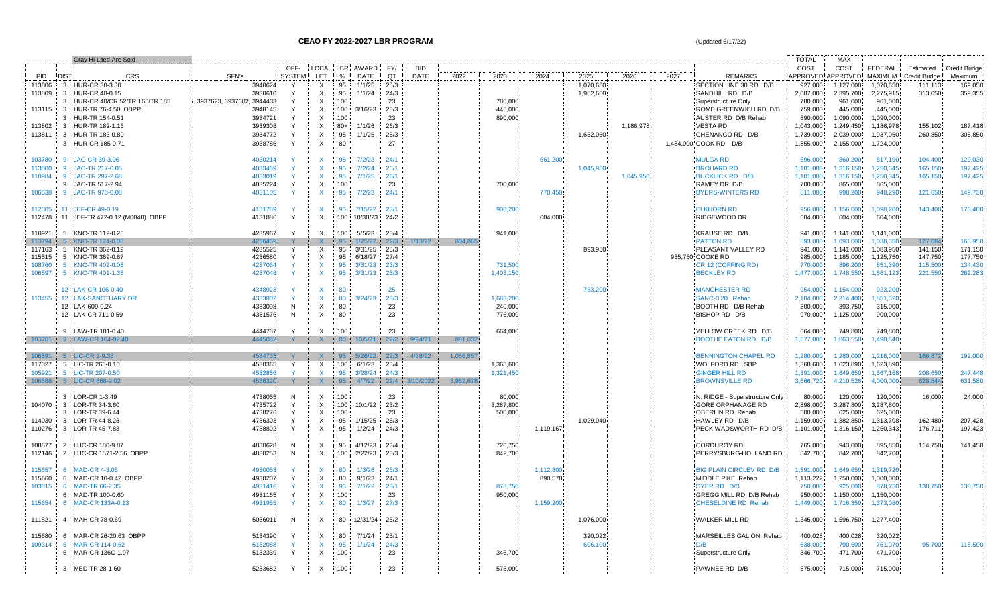|            | Gray Hi-Lited Are Sold                |                           |               |                           |         |                  |      |             |           |           |           |           |           |                                 | <b>TOTAL</b>      | <b>MAX</b> |                |                      |               |
|------------|---------------------------------------|---------------------------|---------------|---------------------------|---------|------------------|------|-------------|-----------|-----------|-----------|-----------|-----------|---------------------------------|-------------------|------------|----------------|----------------------|---------------|
|            |                                       |                           | OFF-          |                           |         | LOCAL LBR AWARD  | FY/  | <b>BID</b>  |           |           |           |           |           |                                 | COST              | COST       | <b>FEDERAL</b> | Estimated            | Credit Bridge |
| <b>PID</b> | <b>DIST</b><br><b>CRS</b>             | SFN's                     | <b>SYSTEM</b> | LET.                      | %       | DATE             | QT   | <b>DATE</b> | 2022      | 2023      | 2024      | 2025      | 2026      | 2027<br><b>REMARKS</b>          | APPROVED APPROVED |            | <b>MAXIMUM</b> | <b>Credit Bridge</b> | Maximum       |
| 113806     | 3 HUR-CR 30-3.30                      | 3940624                   |               | X                         | 95      | 1/1/25           | 25/3 |             |           |           |           | 1,070,650 |           | SECTION LINE 30 RD D/B          | 927.000           | 1.127.000  | 1.070.650      | 111.113              | 169.050       |
| 113809     | $\mathbf{3}$<br>HUR-CR 40-0.15        | 3930610                   | Y             | $\boldsymbol{\mathsf{X}}$ | 95      | 1/1/24           | 24/3 |             |           |           |           | 1,982,650 |           | SANDHILL RD D/B                 | 2,087,000         | 2,395,700  | 2,275,915      | 313,050              | 359,355       |
|            | HUR-CR 40/CR 52/TR 165/TR 185<br>3    | 3937623, 3937682, 3944433 | Υ             | $\times$                  | 100     |                  | 23   |             |           | 780,000   |           |           |           | Superstructure Only             | 780,000           | 961,000    | 961,000        |                      |               |
| 113115     | $\overline{3}$<br>HUR-TR 76-4.50 OBPP | 3948145                   |               | $\boldsymbol{\mathsf{X}}$ | $100 -$ | 3/16/23          | 23/3 |             |           | 445,000   |           |           |           | ROME GREENWICH RD D/B           | 759,000           | 445,000    | 445,000        |                      |               |
|            | HUR-TR 154-0.51<br>3                  | 3934721                   | Y             | $\times$                  | 100     |                  | 23   |             |           | 890,000   |           |           |           | AUSTER RD D/B Rehab             | 890,000           | 1,090,000  | 1,090,000      |                      |               |
| 113802     | $\mathbf{3}$<br>HUR-TR 182-1.16       | 3939308                   | Y             | $\boldsymbol{\mathsf{X}}$ | $80+$   | 1/1/26           | 26/3 |             |           |           |           |           | 1,186,978 | <b>VESTA RD</b>                 | 1,043,000         | 1,249,450  | 1,186,978      | 155,102              | 187.418       |
| 113811     | HUR-TR 183-0.80<br>3                  | 3934772                   | Y             | $\boldsymbol{\mathsf{X}}$ | 95      | 1/1/25           | 25/3 |             |           |           |           | 1,652,050 |           | CHENANGO RD D/B                 | 1,739,000         | 2,039,000  | 1,937,050      | 260,850              | 305,850       |
|            | 3 HUR-CR 185-0.71                     | 3938786                   | Y             | $\boldsymbol{\mathsf{X}}$ | 80      |                  | 27   |             |           |           |           |           |           | 1,484,000 COOK RD D/B           | 1,855,000         | 2,155,000  | 1,724,000      |                      |               |
|            |                                       |                           |               |                           |         |                  |      |             |           |           |           |           |           |                                 |                   |            |                |                      |               |
| 103780     | $\mathbf{q}$<br>JAC-CR 39-3.06        | 4030214                   |               | X                         | 95      | 7/2/23           | 24/1 |             |           |           | 661,200   |           |           | <b>MULGA RD</b>                 | 696,000           | 860,200    | 817,190        | 104,400              | 129,030       |
| 113800     | 9 JAC-TR 217-0.05                     | 4033469                   |               | $\mathsf{X}$              | 95      | 7/2/24           | 25/1 |             |           |           |           | 1,045,950 |           | <b>BROHARD RD</b>               | 1,101,000         | 1,316,150  | 1,250,345      | 165,150              | 197,425       |
| 110984     | 9 JAC-TR 297-2.68                     | 4033019                   |               | $\mathsf{X}$              | 95      | 7/1/25           | 26/1 |             |           |           |           |           | 1,045,950 | <b>BUCKLICK RD D/B</b>          | 1,101,000         | 1,316,150  | 1,250,345      | 165,150              | 197,425       |
|            | JAC-TR 517-2.94<br>$\mathbf{q}$       | 4035224                   | Y             | $\boldsymbol{\mathsf{X}}$ | 100     |                  | 23   |             |           | 700,000   |           |           |           | RAMEY DR D/B                    | 700,000           | 865,000    | 865,000        |                      |               |
| 106538     | 9 JAC-TR 973-0.08                     | 4031105                   | Y             | $\mathsf{X}$              | 95      | 7/2/23           | 24/1 |             |           |           | 770,450   |           |           | <b>BYERS-WINTERS RD</b>         | 811,000           | 998,200    | 948,290        | 121,650              | 149,730       |
|            |                                       |                           |               |                           |         |                  |      |             |           |           |           |           |           |                                 |                   |            |                |                      |               |
| 112305     | 11 JEF-CR 49-0.19                     | 4131789                   |               | $\mathsf{x}$              | 95      | 7/15/22          | 23/1 |             |           | 908,200   |           |           |           | <b>ELKHORN RD</b>               | 956,000           | 1,156,000  | 1.098.200      | 143,400              | 173,400       |
| 112478     | 11 JEF-TR 472-0.12 (M0040) OBPP       | 4131886                   | Y             | $\mathsf{X}$              |         | 100 10/30/23     | 24/2 |             |           |           | 604,000   |           |           | RIDGEWOOD DR                    | 604,000           | 604,000    | 604,000        |                      |               |
|            |                                       |                           |               |                           |         |                  |      |             |           |           |           |           |           |                                 |                   |            |                |                      |               |
| 110921     | 5 KNO-TR 112-0.25                     | 4235967                   | Y             | X                         | 100:    | 5/5/23           | 23/4 |             |           | 941,000   |           |           |           | KRAUSE RD D/B                   | 941,000           | 1,141,000  | 1,141,000      |                      |               |
| 113794     | 5 KNO-TR 124-0.08                     | 4236459                   |               | $\mathsf{X}$              | 95      | 1/25/22          | 22/3 | 1/13/22     | 804.86    |           |           |           |           | <b>PATTON RD</b>                | 893,000           | 1.093.000  | 1.038.350      | 127.084              | 163.950       |
| 117163     | 5 KNO-TR 362-0.12                     | 4235525                   | Y             | $\mathsf{X}$              |         | 95 3/31/25       | 25/3 |             |           |           |           | 893,950   |           | PLEASANT VALLEY RD              | 941,000           | 1,141,000  | 1,083,950      | 141,150              | 171,150       |
| 115515     | 5 KNO-TR 369-0.67                     | 4236580                   | Y             | $\boldsymbol{\mathsf{X}}$ |         | 95 6/18/27       | 27/4 |             |           |           |           |           |           | 935,750 COOKE RD                | 985,000           | 1,185,000  | 1,125,750      | 147,750              | 177,750       |
| 108760     | 5 KNO-TR 402-0.06                     | 4237064                   | Y.            | $\mathsf{X}$              | 95      | 3/31/23          | 23/3 |             |           | 731,500   |           |           |           | CR 12 (COFFING RD)              | 770,000           | 896,200    | 851,390        | 115,500              | 134.430       |
| 106597     | 5 KNO-TR 401-1.35                     | 4237048                   | Y             | $\mathsf{X}$              | 95      | 3/31/23          | 23/3 |             |           | 1,403,150 |           |           |           | <b>BECKLEY RD</b>               | 1,477,000         | 1,748,550  | 1,661,123      | 221,550              | 262,283       |
|            |                                       |                           |               |                           |         |                  |      |             |           |           |           |           |           |                                 |                   |            |                |                      |               |
|            | 12 LAK-CR 106-0.40                    | 4348923                   |               | $\mathsf{x}$              | 80      |                  | 25   |             |           |           |           | 763,200   |           | <b>MANCHESTER RD</b>            | 954.000           | 1,154,000  | 923,200        |                      |               |
| 113455     | <b>12 LAK-SANCTUARY DR</b>            | 4333802                   | Y             | $\mathsf{X}$              | 80      | 3/24/23          | 23/3 |             |           | 1.683.200 |           |           |           | SANC-0.20 Rehab                 | 2.104.000         | 2,314,400  | 1,851,520      |                      |               |
|            | 12 LAK-609-0.24                       | 4333098                   | N             | $\mathsf{X}$              | 80      |                  | 23   |             |           | 240,000   |           |           |           | BOOTH RD D/B Rehab              | 300,000           | 393,750    | 315,000        |                      |               |
|            | 12 LAK-CR 711-0.59                    | 4351576                   | N             | $\times$                  | 80      |                  | 23   |             |           | 776,000   |           |           |           | BISHOP RD D/B                   | 970,000           | 1,125,000  | 900,000        |                      |               |
|            |                                       |                           |               |                           |         |                  |      |             |           |           |           |           |           |                                 |                   |            |                |                      |               |
|            | 9 LAW-TR 101-0.40                     | 4444787                   | Y             | $\times$                  | 100     |                  | 23   |             |           | 664,000   |           |           |           | YELLOW CREEK RD D/B             | 664.000           | 749,800    | 749.800        |                      |               |
| 103781     | 9 LAW-CR 104-02.40                    | 4445082                   |               | $\mathsf{X}$              | 80      | 10/5/21 22/2     |      | 9/24/21     | 881,032   |           |           |           |           | BOOTHE EATON RD D/B             | 1,577,000         | 1,863,550  | 1,490,840      |                      |               |
|            |                                       |                           |               |                           |         |                  |      |             |           |           |           |           |           |                                 |                   |            |                |                      |               |
| 106591     | 5 LIC-CR 2-9.38                       | 4534735                   |               | X.                        | 95      | 5/26/22          | 22/3 | 4/28/22     | 1,056,857 |           |           |           |           | <b>BENNINGTON CHAPEL RD</b>     | 1,280,000         | 1,280,000  | 1,216,000      | 166,872              | 192,000       |
| 117327     | 5 LIC-TR 265-0.10                     | 4530365                   | Y             | $\mathsf{X}$              |         | 100 6/1/23       | 23/4 |             |           | 1,368,600 |           |           |           | WOLFORD RD SBP                  | 1,368,600         | 1,623,890  | 1,623,890      |                      |               |
| 105921     | 5 LIC-TR 207-0.50                     | 4532856                   | Y.            | $\mathsf{X}$              | 95      | 3/28/24          | 24/3 |             |           | 1.321.450 |           |           |           | <b>GINGER HILL RD</b>           | 1.391.000         | 1.649.650  | 1.567.168      | 208,650              | 247.448       |
| 106588     | 5 LIC-CR 668-9.02                     | 4536320                   | Y             | X                         | 95      | 4/7/22 22/4      |      | 3/10/2022   | 3,982,678 |           |           |           |           | <b>BROWNSVILLE RD</b>           | 3,666,720         | 4,210,526  | 4,000,000      | 628,844              | 631,580       |
|            |                                       |                           |               |                           |         |                  |      |             |           |           |           |           |           |                                 |                   |            |                |                      |               |
|            | LOR-CR 1-3.49<br>3                    | 4738055                   | N             | $\times$                  | 100     |                  | 23   |             |           | 80,000    |           |           |           | N. RIDGE - Superstructure Only  | 80,000            | 120,000    | 120,000        | 16.000               | 24.000        |
| 104070     | 3 LOR-TR 34-3.60                      | 4735722                   | Y             | $\boldsymbol{\mathsf{X}}$ | 100     | 10/1/22          | 23/2 |             |           | 3,287,800 |           |           |           | <b>GORE ORPHANAGE RD</b>        | 2,898,000         | 3,287,800  | 3,287,800      |                      |               |
|            | LOR-TR 39-6.44<br>3                   | 4738276                   | Y             | $\times$                  | 100     |                  | 23   |             |           | 500,000   |           |           |           | <b>OBERLIN RD Rehab</b>         | 500,000           | 625,000    | 625,000        |                      |               |
| 114030     | 3 LOR-TR 44-8.23                      | 4736303                   | Y             | $\mathsf{X}$              | 95      | 1/15/25          | 25/3 |             |           |           |           | 1,029,040 |           | HAWLEY RD D/B                   | 1,159,000         | 1,382,850  | 1,313,708      | 162,480              | 207,428       |
| 110276     | 3 LOR-TR 45-7.83                      | 4738802                   | Y             | $\mathsf{X}$              | 95      | 1/2/24           | 24/3 |             |           |           | 1,119,167 |           |           | PECK WADSWORTH RD D/B           | 1,101,000         | 1,316,150  | 1,250,343      | 176,711              | 197,423       |
|            |                                       |                           |               |                           |         |                  |      |             |           |           |           |           |           |                                 |                   |            |                |                      |               |
| 108877     | LUC-CR 180-9.87<br>$\overline{2}$     | 4830628                   | N             | X                         | 95      | 4/12/23          | 23/4 |             |           | 726,750   |           |           |           | <b>CORDUROY RD</b>              | 765,000           | 943,000    | 895,850        | 114,750              | 141,450       |
| 112146     | 2 LUC-CR 1571-2.56 OBPP               | 4830253                   | N             | $\boldsymbol{\mathsf{X}}$ |         | 100 2/22/23      | 23/3 |             |           | 842,700   |           |           |           | PERRYSBURG-HOLLAND RD           | 842,700           | 842,700    | 842,700        |                      |               |
|            |                                       |                           |               |                           |         |                  |      |             |           |           |           |           |           |                                 |                   |            |                |                      |               |
| 115657     | <b>MAD-CR 4-3.05</b><br>6             | 4930053                   |               | $\mathsf{x}$              | 80      | 1/3/26           | 26/3 |             |           |           | 1,112,800 |           |           | <b>BIG PLAIN CIRCLEV RD D/B</b> | 1.391.000         | 1.649.650  | 1.319.720      |                      |               |
| 115660     | 6<br>MAD-CR 10-0.42 OBPP              | 4930207                   | Y             | $\boldsymbol{\mathsf{X}}$ | 80      | 9/1/23           | 24/1 |             |           |           | 890,578   |           |           | MIDDLE PIKE Rehab               | 1,113,222         | 1,250,000  | 1,000,000      |                      |               |
| 103815     | MAD-TR 66-2.35<br>- 6                 | 4931416                   |               | $\mathsf{x}$              | 95      | 7/1/22           | 23/1 |             |           | 878,750   |           |           |           | DYER RD D/B                     | 750,000           | 925,000    | 878,750        | 138,750              | 138,750       |
|            | MAD-TR 100-0.60<br>6                  | 4931165                   | Y             | $\boldsymbol{\mathsf{X}}$ | 100     |                  | 23   |             |           | 950,000   |           |           |           | GREGG MILL RD D/B Rehab         | 950,000           | 1,150,000  | 1,150,000      |                      |               |
| 115654     | MAD-CR 133A-0.13<br>6                 | 4931955                   | Y.            | $\mathsf{X}$              | 80      | 1/3/27           | 27/3 |             |           |           | 1,159,200 |           |           | <b>CHESELDINE RD Rehab</b>      | 1,449,000         | 1,716,350  | 1,373,080      |                      |               |
|            |                                       |                           |               |                           |         |                  |      |             |           |           |           |           |           |                                 |                   |            |                |                      |               |
| 111521     | 4 MAH-CR 78-0.69                      | 5036011                   | N             | X                         |         | 80 12/31/24 25/2 |      |             |           |           |           | 1,076,000 |           | <b>WALKER MILL RD</b>           | 1,345,000         | 1,596,750  | 1,277,400      |                      |               |
|            |                                       |                           |               |                           |         |                  |      |             |           |           |           |           |           |                                 |                   |            |                |                      |               |
| 115680     | 6 MAR-CR 26-20.63 OBPP                | 5134390.                  | Y             | X                         | 80      | 7/1/24           | 25/1 |             |           |           |           | 320,022   |           | MARSEILLES GALION Rehab         | 400,028           | 400,028    | 320,022        |                      |               |
| 109314     | MAR-CR 114-0.62<br>6                  | 5132088                   | Y             | $\mathsf{x}$              | 95      | 1/1/24           | 24/3 |             |           |           |           | 606,100   |           | D/B                             | 638,000           | 790,600    | 751,070        | 95,700               | 118,590       |
|            | MAR-CR 136C-1.97<br>-6                | 5132339                   | Y             | $\mathsf{X}$              | 100     |                  | 23   |             |           | 346,700   |           |           |           | Superstructure Only             | 346,700           | 471,700    | 471,700        |                      |               |
|            |                                       |                           |               |                           |         |                  |      |             |           |           |           |           |           |                                 |                   |            |                |                      |               |
|            | 3 MED-TR 28-1.60                      | 5233682                   | Y             | $\mathsf{X}$              | 100     |                  | 23   |             |           | 575,000   |           |           |           | PAWNEE RD D/B                   | 575,000           | 715,000    | 715,000        |                      |               |
|            |                                       |                           |               |                           |         |                  |      |             |           |           |           |           |           |                                 |                   |            |                |                      |               |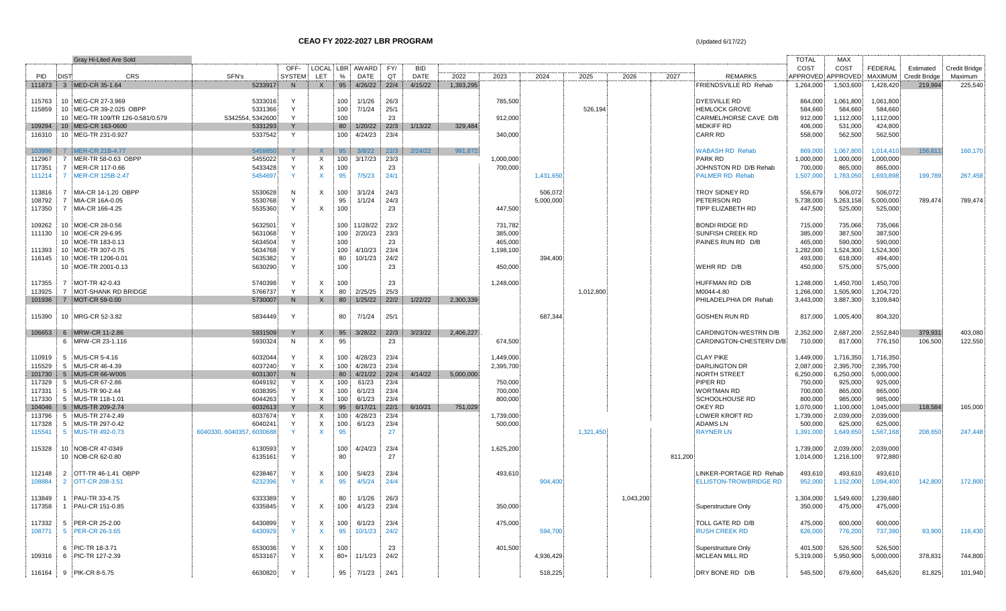|        |             | <b>Gray Hi-Lited Are Sold</b>    |                           |               |                           |               |                 |      |             |           |           |           |           |           |         |                               | TOTAL           | <b>MAX</b> |                |                      |               |
|--------|-------------|----------------------------------|---------------------------|---------------|---------------------------|---------------|-----------------|------|-------------|-----------|-----------|-----------|-----------|-----------|---------|-------------------------------|-----------------|------------|----------------|----------------------|---------------|
|        |             |                                  |                           | OFF-          |                           |               | LOCAL LBR AWARD | FY/  | <b>BID</b>  |           |           |           |           |           |         |                               | COST            | COST       | FEDERAL        | Estimated            | Credit Bridge |
| PID    | <b>DIST</b> | <b>CRS</b>                       | SFN's                     | <b>SYSTEM</b> | <b>LET</b>                | $\frac{0}{0}$ | DATE            | QT   | <b>DATE</b> | 2022      | 2023      | 2024      | 2025      | 2026      | 2027    | <b>REMARKS</b>                | <b>APPROVED</b> | APPROVED   | <b>MAXIMUM</b> | <b>Credit Bridge</b> | Maximum       |
|        |             | 111873 3 MED-CR 35-1.64          | 5233917                   | N             | X                         | 95            | 4/26/22 22/4    |      | 4/15/22     | 1,393,295 |           |           |           |           |         | <b>FRIENDSVILLE RD Rehab</b>  | 1,264,000       | 1,503,600  | 1,428,420      | 219,994              | 225,540       |
|        |             |                                  |                           |               |                           |               |                 |      |             |           |           |           |           |           |         |                               |                 |            |                |                      |               |
| 115763 |             | 10 MEG-CR 27-3.969               | 5333016                   | Y             |                           | 100           | 1/1/26          | 26/3 |             |           | 785,500   |           |           |           |         | <b>DYESVILLE RD</b>           | 864,000         | 1,061,800  | 1,061,800      |                      |               |
| 115859 |             | 10 MEG-CR 39-2.025 OBPP          | 5331366                   | Y             |                           | 100           | 7/1/24          | 25/1 |             |           |           |           | 526,194   |           |         | <b>HEMLOCK GROVE</b>          | 584,660         | 584,660    | 584,660        |                      |               |
|        |             | 10 MEG-TR 109/TR 126-0.581/0.579 | 5342554, 5342600          | $\mathsf{v}$  |                           | 100           |                 | 23   |             |           | 912,000   |           |           |           |         | CARMEL/HORSE CAVE D/B         | 912,000         | 1,112,000  | 1,112,000      |                      |               |
| 109294 |             | 10 MEG-CR 163-0600               | 5331293                   |               |                           | 80            | 1/20/22         | 22/3 | 1/13/22     | 329,484   |           |           |           |           |         | <b>MIDKIFF RD</b>             | 406,000         | 531,000    | 424,800        |                      |               |
| 116310 |             | 10 MEG-TR 231-0.927              | 5337542                   | Y             |                           | 100           | 4/24/23         | 23/4 |             |           | 340.000   |           |           |           |         | <b>CARR RD</b>                | 558.000         | 562.500    | 562,500        |                      |               |
|        |             |                                  |                           |               |                           |               |                 |      |             |           |           |           |           |           |         |                               |                 |            |                |                      |               |
| 103996 |             | 7 MER-CR 21B-4.77                | 545985                    |               | X.                        | 95            | 3/8/22          | 22/3 | 2/24/22     | 991,872   |           |           |           |           |         | <b>WABASH RD Rehab</b>        | 869,000         | 1,067,800  | 1,014,410      | 156,611              | 160,170       |
| 112967 |             | 7 MER-TR 58-0.63 OBPP            | 5455022                   | Y             | X                         | 100:          | 3/17/23         | 23/3 |             |           | 1,000,000 |           |           |           |         | PARK RD                       | 1,000,000       | 1,000,000  | 1,000,000      |                      |               |
| 117351 | $7^{\circ}$ | MER-CR 117-0.66                  | 5433428                   | Y             | X                         | 100           |                 | 23   |             |           | 700,000   |           |           |           |         | JOHNSTON RD D/B Rehab         | 700,000         | 865,000    | 865,000        |                      |               |
| 111214 |             | 7 MER-CR 125B-2.47               | 5454697                   | $\mathbf{v}$  | $\mathsf{x}$              | 95            | 7/5/23          | 24/1 |             |           |           | 1,431,650 |           |           |         | <b>PALMER RD Rehab</b>        | 1,507,000       | 1,783,050  | 1,693,898      | 199,789              | 267,458       |
|        |             |                                  |                           |               |                           |               |                 |      |             |           |           |           |           |           |         |                               |                 |            |                |                      |               |
| 113816 |             | 7 MIA-CR 14-1.20 OBPP            | 5530628                   | N             | X                         | 100           | 3/1/24          | 24/3 |             |           |           | 506.072   |           |           |         | <b>TROY SIDNEY RD</b>         | 556,679         | 506,072    | 506,072        |                      |               |
| 108792 |             | 7 MIA-CR 16A-0.05                | 5530768                   | Y             |                           | 95            | 1/1/24          | 24/3 |             |           |           | 5,000,000 |           |           |         | PETERSON RD                   | 5,738,000       | 5,263,158  | 5,000,000      | 789,474              | 789,474       |
| 117350 |             | 7 MIA-CR 166-4.25                | 5535360                   | $\mathsf{Y}$  | $\mathsf{X}$              | 100           |                 | 23   |             |           | 447,500   |           |           |           |         | TIPP ELIZABETH RD             | 447,500         | 525,000    |                |                      |               |
|        |             |                                  |                           |               |                           |               |                 |      |             |           |           |           |           |           |         |                               |                 |            | 525,000        |                      |               |
|        |             |                                  |                           |               |                           |               |                 |      |             |           |           |           |           |           |         |                               |                 |            |                |                      |               |
| 109262 |             | 10 MOE-CR 28-0.56                | 5632501                   |               |                           |               | 100 11/28/22    | 23/2 |             |           | 731,782   |           |           |           |         | <b>BONDI RIDGE RD</b>         | 715,000         | 735,066    | 735,066        |                      |               |
| 111130 |             | 10 MOE-CR 29-6.95                | 5631068                   | Y             |                           | 100           | 2/20/23         | 23/3 |             |           | 385,000   |           |           |           |         | SUNFISH CREEK RD              | 385,000         | 387,500    | 387,500        |                      |               |
|        |             | 10 MOE-TR 183-0.13               | 5634504                   | Y             |                           | 100           |                 | 23   |             |           | 465,000   |           |           |           |         | PAINES RUN RD D/B             | 465,000         | 590,000    | 590,000        |                      |               |
| 111393 |             | 10 MOE-TR 307-0.75               | 5634768                   | Y             |                           | 100           | 4/10/23         | 23/4 |             |           | 1,198,100 |           |           |           |         |                               | 1,282,000       | 1,524,300  | 1,524,300      |                      |               |
| 116145 |             | 10 MOE-TR 1206-0.01              | 5635382                   | Y             |                           | 80            | 10/1/23         | 24/2 |             |           |           | 394,400   |           |           |         |                               | 493,000         | 618,000    | 494,400        |                      |               |
|        |             | 10 MOE-TR 2001-0.13              | 5630290                   | Y             |                           | 100           |                 | 23   |             |           | 450,000   |           |           |           |         | WEHR RD D/B                   | 450,000         | 575,000    | 575,000        |                      |               |
|        |             |                                  |                           |               |                           |               |                 |      |             |           |           |           |           |           |         |                               |                 |            |                |                      |               |
| 117355 |             | 7 MOT-TR 42-0.43                 | 5740398                   | Y             | X                         | 100           |                 | 23   |             |           | 1,248,000 |           |           |           |         | HUFFMAN RD D/B                | 1,248,000       | 1,450,700  | 1,450,700      |                      |               |
| 113925 |             | 7 MOT-SHANK RD BRIDGE            | 5766737                   | Y             | $\mathsf{X}$              | 80            | 2/25/25         | 25/3 |             |           |           |           | 1,012,800 |           |         | M0044-4.80                    | 1,266,000       | 1,505,900  | 1,204,720      |                      |               |
| 101936 |             | 7 MOT-CR 59-0.00                 | 5730007                   | N             | $\mathsf{X}$              |               | 80 1/25/22      | 22/2 | 1/22/22     | 2,300,339 |           |           |           |           |         | PHILADELPHIA DR Rehab         | 3,443,000       | 3,887,300  | 3,109,840      |                      |               |
|        |             |                                  |                           |               |                           |               |                 |      |             |           |           |           |           |           |         |                               |                 |            |                |                      |               |
| 115390 |             | 10 MRG-CR 52-3.82                | 5834449                   | Y             |                           | 80            | 7/1/24          | 25/1 |             |           |           | 687.344   |           |           |         | GOSHEN RUN RD                 | 817,000         | 1,005,400  | 804,320        |                      |               |
|        |             |                                  |                           |               |                           |               |                 |      |             |           |           |           |           |           |         |                               |                 |            |                |                      |               |
| 106653 |             | 6 MRW-CR 11-2.86                 | 5931509                   |               | $\mathsf{X}$              | 95            | 3/28/22         | 22/3 | 3/23/22     | 2,406,227 |           |           |           |           |         | CARDINGTON-WESTRN D/B         | 2,352,000       | 2,687,200  | 2,552,840      | 379,931              | 403,080       |
|        |             | 6 MRW-CR 23-1.116                | 5930324                   | N             | $\mathsf{X}$              | 95            |                 | 23   |             |           | 674,500   |           |           |           |         | CARDINGTON-CHESTERV D/B       | 710,000         | 817,000    | 776,150        | 106,500              | 122,550       |
|        |             |                                  |                           |               |                           |               |                 |      |             |           |           |           |           |           |         |                               |                 |            |                |                      |               |
| 110919 |             | 5 MUS-CR 5-4.16                  | 6032044                   |               | X                         | 100           | 4/28/23         | 23/4 |             |           | 1,449,000 |           |           |           |         | <b>CLAY PIKE</b>              | 1,449,000       | 1,716,350  | 1,716,350      |                      |               |
| 115529 |             | 5 MUS-CR 46-4.39                 | 6037240                   | Y             | $\mathsf{X}$              | 100           | 4/28/23         | 23/4 |             |           | 2,395,700 |           |           |           |         | <b>DARLINGTON DR</b>          | 2,087,000       | 2,395,700  | 2,395,700      |                      |               |
| 101730 |             | 5 MUS-CR 66-W005                 | 6031307                   | <sup>N</sup>  |                           | 80            | 4/21/22         | 22/4 | 4/14/22     | 5,000,000 |           |           |           |           |         | <b>NORTH STREET</b>           | 6,250,000       | 6,250,000  | 5,000,000      |                      |               |
| 117329 |             | 5 MUS-CR 67-2.86                 | 6049192                   | Y             | X                         | 100           | 61/23           | 23/4 |             |           | 750,000   |           |           |           |         | PIPER RD                      | 750,000         | 925,000    | 925,000        |                      |               |
| 117331 |             | 5 MUS-TR 90-2.44                 | 6038395                   | Y             | X                         | 100           | 6/1/23          | 23/4 |             |           | 700,000   |           |           |           |         | <b>WORTMAN RD</b>             | 700,000         | 865,000    | 865,000        |                      |               |
| 117330 |             | 5 MUS-TR 118-1.01                | 6044263                   | $\mathsf{Y}$  | $\times$                  | 100           | 6/1/23          | 23/4 |             |           | 800,000   |           |           |           |         | SCHOOLHOUSE RD                | 800,000         | 985,000    | 985,000        |                      |               |
| 104046 |             | 5 MUS-TR 209-2.74                | 6032613                   |               | X                         | 95            | 6/17/21         | 22/1 | 6/10/21     | 751.029   |           |           |           |           |         | OKEY RD                       | 1,070,000       | 1,100,000  | 1,045,000      | 118,584              | 165.000       |
| 113796 |             | 5 MUS-TR 274-2.49                | 6037674                   |               | $\times$                  | 100           | 4/28/23         | 23/4 |             |           | 1,739,000 |           |           |           |         | <b>LOWER KROFT RD</b>         | 1,739,000       | 2,039,000  | 2,039,000      |                      |               |
|        |             |                                  |                           | Y             |                           |               |                 |      |             |           |           |           |           |           |         |                               |                 |            |                |                      |               |
| 117328 |             | 5 MUS-TR 297-0.42                | 6040241                   |               | X                         | 100:          | 6/1/23          | 23/4 |             |           | 500,000   |           |           |           |         | <b>ADAMSLN</b>                | 500,000         | 625,000    | 625,000        |                      |               |
| 115541 |             | 5 MUS-TR 492-0.73                | 6040330, 6040357, 6030688 |               | $\mathsf{x}$              | 95            |                 | 27   |             |           |           |           | 1,321,450 |           |         | <b>RAYNER LN</b>              | 1,391,000       | 1,649,650  | 1,567,168      | 208,650              | 247,448       |
|        |             |                                  |                           |               |                           |               |                 |      |             |           |           |           |           |           |         |                               |                 |            |                |                      |               |
| 115328 |             | 10 NOB-CR 47-0349                | 6130593                   | Y             |                           | 100           | 4/24/23         | 23/4 |             |           | 1,625,200 |           |           |           |         |                               | 1,739,000       | 2.039.000  | 2,039,000      |                      |               |
|        |             | 10 NOB-CR 62-0.80                | 6135161                   | Y             |                           | 80            |                 | 27   |             |           |           |           |           |           | 811,200 |                               | 1,014,000       | 1,216,100  | 972,880        |                      |               |
|        |             |                                  |                           |               |                           |               |                 |      |             |           |           |           |           |           |         |                               |                 |            |                |                      |               |
| 112148 |             | 2 OTT-TR 46-1.41 OBPP            | 6238467                   | Y             | X                         | 100           | 5/4/23          | 23/4 |             |           | 493,610   |           |           |           |         | LINKER-PORTAGE RD Rehab       | 493,610         | 493,610    | 493.610        |                      |               |
| 108884 |             | 2 OTT-CR 208-3.51                | 6232396                   | -Y            | X                         | 95            | 4/5/24          | 24/4 |             |           |           | 904,400   |           |           |         | <b>ELLISTON-TROWBRIDGE RD</b> | 952,000         | 1,152,000  | 1,094,400      | 142,800              | 172,800       |
|        |             |                                  |                           |               |                           |               |                 |      |             |           |           |           |           |           |         |                               |                 |            |                |                      |               |
| 113849 |             | 1 PAU-TR 33-4.75                 | 6333389                   | Y             |                           | 80            | 1/1/26          | 26/3 |             |           |           |           |           | 1,043,200 |         |                               | 1,304,000       | 1,549,600  | 1,239,680      |                      |               |
| 117358 |             | 1 PAU-CR 151-0.85                | 6335845                   | Y             | X                         | 100           | 4/1/23          | 23/4 |             |           | 350,000   |           |           |           |         | Superstructure Only           | 350,000         | 475,000    | 475,000        |                      |               |
|        |             |                                  |                           |               |                           |               |                 |      |             |           |           |           |           |           |         |                               |                 |            |                |                      |               |
| 117332 |             | 5 PER-CR 25-2.00                 | 6430899                   | Y             | X                         | 100           | 6/1/23          | 23/4 |             |           | 475,000   |           |           |           |         | TOLL GATE RD D/B              | 475,000         | 600,000    | 600,000        |                      |               |
| 108771 |             | 5 PER-CR 26-3.65                 | 6430929                   | $\mathbf{v}$  | $\mathsf{X}$              | 95            | 10/1/23         | 24/2 |             |           |           | 594,700   |           |           |         | <b>RUSH CREEK RD</b>          | 626,000         | 776,200    | 737,390        | 93,900               | 116,430       |
|        |             |                                  |                           |               |                           |               |                 |      |             |           |           |           |           |           |         |                               |                 |            |                |                      |               |
|        |             | 6 PIC-TR 18-3.71                 | 6530036                   | Y             | X                         | 100           |                 | 23   |             |           | 401,500   |           |           |           |         | Superstructure Only           | 401,500         | 526,500    | 526,500        |                      |               |
| 109316 |             | 6 PIC-TR 127-2.39                | 6533167                   | Y             | $\boldsymbol{\mathsf{X}}$ |               | 80+ 11/1/23     | 24/2 |             |           |           | 4,936,429 |           |           |         | <b>MCLEAN MILL RD</b>         | 5,319,000       | 5,950,900  | 5,000,000      | 378,831              | 744,800       |
|        |             |                                  |                           |               |                           |               |                 |      |             |           |           |           |           |           |         |                               |                 |            |                |                      |               |
|        |             | 116164 9 PIK-CR 8-5.75           | 6630820                   | Y             |                           |               | 95 7/1/23       | 24/1 |             |           |           | 518,225   |           |           |         | DRY BONE RD D/B               | 545,500         | 679,600    | 645,620        | 81,825               | 101,940       |
|        |             |                                  |                           |               |                           |               |                 |      |             |           |           |           |           |           |         |                               |                 |            |                |                      |               |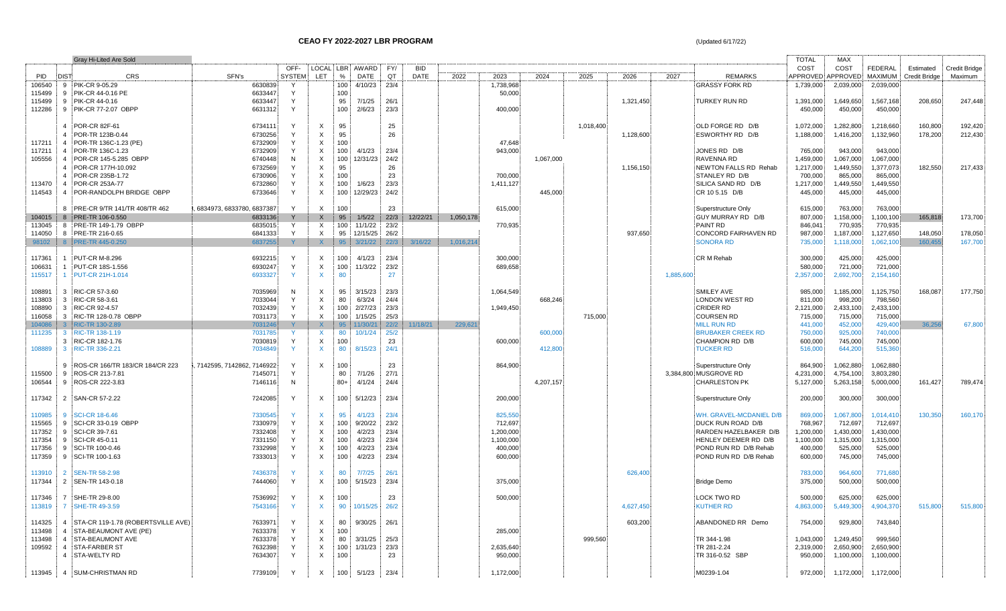|        | <b>Gray Hi-Lited Are Sold</b>               |                             |               |                           |                  |                  |      |             |           |           |           |           |           |           |                          | <b>TOTAL</b> | MAX       |                     |                      |                      |
|--------|---------------------------------------------|-----------------------------|---------------|---------------------------|------------------|------------------|------|-------------|-----------|-----------|-----------|-----------|-----------|-----------|--------------------------|--------------|-----------|---------------------|----------------------|----------------------|
|        |                                             |                             | OFF-          |                           |                  | LOCAL LBR AWARD  | FY/  | <b>BID</b>  |           |           |           |           |           |           |                          | COST         | COST      | <b>FEDERAL</b>      | Estimated            | <b>Credit Bridge</b> |
| PID    | <b>DIST</b><br>CRS                          | SFN's                       | <b>SYSTEM</b> | LET                       | %                | DATE             | QT   | <b>DATE</b> | 2022      | 2023      | 2024      | 2025      | 2026      | 2027      | <b>REMARKS</b>           | APPROVED     | APPROVED  | <b>MAXIMUM</b>      | <b>Credit Bridge</b> | Maximum              |
| 106540 | 9 PIK-CR 9-05.29                            | 6630839                     |               |                           | 100 <sub>1</sub> | 4/10/23          | 23/4 |             |           | 1,738,968 |           |           |           |           | <b>GRASSY FORK RD</b>    | 1,739,000    | 2,039,000 | 2,039,000           |                      |                      |
| 115499 | 9 PIK-CR 44-0.16 PE                         | 6633447                     | Y             |                           | 100              |                  |      |             |           | 50,000    |           |           |           |           |                          |              |           |                     |                      |                      |
| 115499 | PIK-CR 44-0.16<br>-9                        | 6633447                     | Y             |                           | 95               | 7/1/25           | 26/1 |             |           |           |           |           | 1,321,450 |           | <b>TURKEY RUN RD</b>     | 1,391,000    | 1,649,650 | 1,567,168           | 208,650              | 247,448              |
| 112286 | 9 PIK-CR 77-2.07 OBPP                       | 6631312                     | Y             |                           | 100              | 2/6/23           | 23/3 |             |           | 400,000   |           |           |           |           |                          | 450,000      | 450,000   | 450,000             |                      |                      |
|        |                                             |                             |               |                           |                  |                  |      |             |           |           |           |           |           |           |                          |              |           |                     |                      |                      |
|        |                                             |                             | Y             |                           |                  |                  |      |             |           |           |           |           |           |           |                          |              |           |                     |                      |                      |
|        | POR-CR 82F-61<br>4                          | 6734111                     |               | $\mathsf{X}$              | 95               |                  | 25   |             |           |           |           | 1,018,400 |           |           | OLD FORGE RD D/B         | 1,072,000    | 1,282,800 | 1,218,660           | 160,800              | 192,420              |
|        | POR-TR 123B-0.44                            | 6730256                     |               | $\mathsf{X}$              | 95               |                  | 26   |             |           |           |           |           | 1,128,600 |           | ESWORTHY RD D/B          | 1,188,000    | 1,416,200 | 1,132,960           | 178,200              | 212,430              |
| 117211 | 4 POR-TR 136C-1.23 (PE)                     | 6732909                     |               | $\times$                  | 100              |                  |      |             |           | 47.648    |           |           |           |           |                          |              |           |                     |                      |                      |
| 117211 | 4 POR-TR 136C-1.23                          | 6732909                     |               | $\boldsymbol{\mathsf{X}}$ | 100              | 4/1/23           | 23/4 |             |           | 943,000   |           |           |           |           | JONES RD D/B             | 765,000      | 943,000   | 943,000             |                      |                      |
| 105556 | POR-CR 145-5.285 OBPP<br>-4                 | 6740448                     | N             | $\boldsymbol{\mathsf{X}}$ | 100              | 12/31/23         | 24/2 |             |           |           | 1,067,000 |           |           |           | <b>RAVENNA RD</b>        | 1,459,000    | 1,067,000 | 1,067,000           |                      |                      |
|        | 4 POR-CR 177H-10.092                        | 6732569                     |               | $\mathsf{X}$              | 95               |                  | 26   |             |           |           |           |           | 1,156,150 |           | NEWTON FALLS RD Rehab    | 1,217,000    | 1,449,550 | 1,377,073           | 182,550              | 217,433              |
|        | POR-CR 235B-1.72                            | 6730906                     |               | $\boldsymbol{\mathsf{X}}$ | 100              |                  | 23   |             |           | 700,000   |           |           |           |           | STANLEY RD D/B           | 700,000      | 865,000   | 865,000             |                      |                      |
| 113470 | POR-CR 253A-77<br>$\overline{4}$            | 6732860                     |               | $\mathsf{X}$              | 100              | 1/6/23           | 23/3 |             |           | 1,411,127 |           |           |           |           | SILICA SAND RD D/B       | 1,217,000    | 1,449,550 | 1,449,550           |                      |                      |
|        |                                             |                             |               |                           |                  |                  |      |             |           |           |           |           |           |           |                          |              |           |                     |                      |                      |
| 114543 | 4 POR-RANDOLPH BRIDGE OBPP                  | 6733646                     | Y             | $\mathsf{X}$              | 100              | 12/29/23         | 24/2 |             |           |           | 445,000   |           |           |           | CR 10 5.15 D/B           | 445,000      | 445,000   | 445,000             |                      |                      |
|        |                                             |                             |               |                           |                  |                  |      |             |           |           |           |           |           |           |                          |              |           |                     |                      |                      |
|        | PRE-CR 9/TR 141/TR 408/TR 462               | 6834973, 6833780, 6837387   | Y             | $\mathsf{X}$              | 100              |                  | 23   |             |           | 615,000   |           |           |           |           | Superstructure Only      | 615,000      | 763,000   | 763,000             |                      |                      |
| 104015 | 8 PRE-TR 106-0.550                          | 6833136                     |               | $\mathsf{X}$              | 95               | 1/5/22           | 22/3 | 12/22/21    | 1,050,178 |           |           |           |           |           | GUY MURRAY RD D/B        | 807,000      | 1,158,000 | 1,100,100           | 165,818              | 173,700              |
| 113045 | 8 PRE-TR 149-1.79 OBPP                      | 6835015                     | Y             | X                         | 100              | 11/1/22          | 23/2 |             |           | 770,935   |           |           |           |           | PAINT RD                 | 846,041      | 770,935   | 770,935             |                      |                      |
| 114050 | 8 PRE-TR 216-0.65                           | 6841333                     | Y             | $\mathsf{X}$              | 95               | 12/15/25         | 26/2 |             |           |           |           |           | 937,650   |           | CONCORD FAIRHAVEN RD     | 987,000      | 1,187,000 | 1,127,650           | 148,050              | 178,050              |
| 98102  | 8 PRE-TR 445-0.250                          | 6837255                     |               | $\mathsf{X}$              | 95               | 3/21/22          | 22/3 | 3/16/22     | 1,016,214 |           |           |           |           |           | <b>SONORA RD</b>         | 735,000      | 1,118,000 | 1,062,100           | 160,455              | 167,700              |
|        |                                             |                             |               |                           |                  |                  |      |             |           |           |           |           |           |           |                          |              |           |                     |                      |                      |
|        |                                             |                             |               |                           |                  |                  |      |             |           |           |           |           |           |           |                          |              |           |                     |                      |                      |
| 117361 | PUT-CR M-8.296                              | 6932215                     |               | $\mathsf{X}$              | 100              | 4/1/23           | 23/4 |             |           | 300,000   |           |           |           |           | <b>CR M Rehab</b>        | 300,000      | 425,000   | 425,000             |                      |                      |
| 106631 | PUT-CR 18S-1.556                            | 6930247                     | Y             | $\boldsymbol{\mathsf{X}}$ | 100              | 11/3/22          | 23/2 |             |           | 689,658   |           |           |           |           |                          | 580,000      | 721,000   | 721,000             |                      |                      |
| 115517 | PUT-CR 21H-1.014                            | 6933327                     | Y             | $\mathsf{X}$              | 80               |                  | 27   |             |           |           |           |           |           | 1,885,600 |                          | 2,357,000    | 2,692,700 | 2,154,160           |                      |                      |
|        |                                             |                             |               |                           |                  |                  |      |             |           |           |           |           |           |           |                          |              |           |                     |                      |                      |
| 108891 | RIC-CR 57-3.60<br>-3                        | 7035969                     | N.            | X                         | 95               | 3/15/23          | 23/3 |             |           | 1,064,549 |           |           |           |           | SMILEY AVE               | 985,000      | 1,185,000 | 1,125,750           | 168,087              | 177,750              |
| 113803 | RIC-CR 58-3.61<br>-3                        | 7033044                     |               | $\times$                  | 80               | 6/3/24           | 24/4 |             |           |           | 668,246   |           |           |           | LONDON WEST RD           | 811,000      | 998,200   | 798,560             |                      |                      |
| 108890 | 3 RIC-CR 92-4.57                            | 7032439                     |               | $\times$                  | $100 -$          | 2/27/23          | 23/3 |             |           | 1,949,450 |           |           |           |           | CRIDER RD                | 2,121,000    | 2,433,100 | 2,433,100           |                      |                      |
| 116058 | 3 RIC-TR 128-0.78 OBPP                      | 7031173                     | Υ             | $\times$                  | 100              | 1/15/25          | 25/3 |             |           |           |           | 715,000   |           |           | <b>COURSEN RD</b>        | 715,000      | 715,000   | 715,000             |                      |                      |
|        |                                             |                             |               |                           |                  |                  |      |             |           |           |           |           |           |           |                          |              |           |                     |                      |                      |
| 104086 | 3 RIC-TR 130-2.89                           | 7031246                     |               | $\mathsf{X}$              | 95               | 11/30/21         | 22/2 | 11/18/21    | 229,621   |           |           |           |           |           | <b>MILL RUN RD</b>       | 441,000      | 452,000   | 429,400             | 36,256               | 67,800               |
| 111235 | RIC-TR 138-1.19<br>-3                       | 7031785                     |               | X                         | 80               | 10/1/24          | 25/2 |             |           |           | 600,000   |           |           |           | <b>BRUBAKER CREEK RD</b> | 750,000      | 925,000   | 740,000             |                      |                      |
|        | RIC-CR 182-1.76<br>3                        | 7030819                     | Y             | $\times$                  | 100              |                  | 23   |             |           | 600,000   |           |           |           |           | CHAMPION RD D/B          | 600,000      | 745,000   | 745,000             |                      |                      |
| 108889 | 3 RIC-TR 336-2.21                           | 7034849                     | <b>V</b>      | $\mathsf{X}$              | 80               | 8/15/23          | 24/1 |             |           |           | 412,800   |           |           |           | <b>TUCKER RD</b>         | 516,000      | 644,200   | 515,360             |                      |                      |
|        |                                             |                             |               |                           |                  |                  |      |             |           |           |           |           |           |           |                          |              |           |                     |                      |                      |
|        | 9 ROS-CR 166/TR 183/CR 184/CR 223           | , 7142595, 7142862, 7146922 | Y             | $\mathsf{X}$              | 100              |                  | 23   |             |           | 864,900   |           |           |           |           | Superstructure Only      | 864,900      | 1,062,880 | 1,062,880           |                      |                      |
| 115500 | ROS-CR 213-7.81<br>-9                       | 7145071                     | Y             |                           | 80               | 7/1/26           | 27/1 |             |           |           |           |           |           |           | 3,384,800 MUSGROVE RD    | 4,231,000    | 4,754,100 | 3,803,280           |                      |                      |
| 106544 | ROS-CR 222-3.83<br>-9                       | 7146116                     | N             |                           | $80+$            | 4/1/24           | 24/4 |             |           |           | 4,207,157 |           |           |           | <b>CHARLESTON PK</b>     | 5,127,000    | 5,263,158 | 5,000,000           | 161,427              | 789,474              |
|        |                                             |                             |               |                           |                  |                  |      |             |           |           |           |           |           |           |                          |              |           |                     |                      |                      |
|        |                                             |                             |               |                           |                  |                  |      |             |           |           |           |           |           |           |                          |              |           |                     |                      |                      |
| 117342 | 2 SAN-CR 57-2.22                            | 7242085                     | Y             | $\mathsf{x}$              | $100 -$          | 5/12/23          | 23/4 |             |           | 200,000   |           |           |           |           | Superstructure Only      | 200,000      | 300,000   | 300,000             |                      |                      |
|        |                                             |                             |               |                           |                  |                  |      |             |           |           |           |           |           |           |                          |              |           |                     |                      |                      |
| 110985 | 9 SCI-CR 18-6.46                            | 7330545                     |               | $\mathsf{X}$              | 95               | 4/1/23           | 23/4 |             |           | 825,550   |           |           |           |           | WH. GRAVEL-MCDANIEL D/B  | 869,000      | 1,067,800 | 1,014,410           | 130,350              | 160,170              |
| 115565 | 9 SCI-CR 33-0.19 OBPP                       | 7330979                     |               | $\mathsf{X}$              | 100              | 9/20/22          | 23/2 |             |           | 712,697   |           |           |           |           | DUCK RUN ROAD D/B        | 768,967      | 712,697   | 712,697             |                      |                      |
| 117352 | 9 SCI-CR 39-7.61                            | 7332408                     |               | X                         | 100              | 4/2/23           | 23/4 |             |           | 1,200,000 |           |           |           |           | RARDEN HAZELBAKER D/B    | 1,200,000    | 1,430,000 | 1,430,000           |                      |                      |
| 117354 | 9 SCI-CR 45-0.11                            | 7331150                     |               | $\mathsf{X}$              | 100              | 4/2/23           | 23/4 |             |           | 1,100,000 |           |           |           |           | HENLEY DEEMER RD D/B     | 1,100,000    | 1,315,000 | 1,315,000           |                      |                      |
|        |                                             |                             | Υ             | $\times$                  |                  |                  |      |             |           |           |           |           |           |           | POND RUN RD D/B Rehab    |              |           |                     |                      |                      |
| 117356 | 9 SCI-TR 100-0.46                           | 7332998                     |               |                           | 100              | 4/2/23           | 23/4 |             |           | 400,000   |           |           |           |           |                          | 400,000      | 525,000   | 525,000             |                      |                      |
| 117359 | 9 SCI-TR 100-1.63                           | 7333013                     | Y             | $\mathsf{X}$              | 100              | 4/2/23           | 23/4 |             |           | 600,000   |           |           |           |           | POND RUN RD D/B Rehab    | 600,000      | 745,000   | 745,000             |                      |                      |
|        |                                             |                             |               |                           |                  |                  |      |             |           |           |           |           |           |           |                          |              |           |                     |                      |                      |
| 113910 | <b>SEN-TR 58-2.98</b><br>$\overline{2}$     | 7436378                     |               | X                         | 80               | 7/7/25           | 26/1 |             |           |           |           |           | 626,400   |           |                          | 783,000      | 964,600   | 771,680             |                      |                      |
| 117344 | 2 SEN-TR 143-0.18                           | 7444060                     | Y             | $\times$                  | 100              | 5/15/23          | 23/4 |             |           | 375,000   |           |           |           |           | <b>Bridge Demo</b>       | 375,000      | 500,000   | 500,000             |                      |                      |
|        |                                             |                             |               |                           |                  |                  |      |             |           |           |           |           |           |           |                          |              |           |                     |                      |                      |
| 117346 | 7 SHE-TR 29-8.00                            | 7536992                     | Y             | X                         | 100              |                  | 23   |             |           | 500,000   |           |           |           |           | LOCK TWO RD              | 500,000      | 625,000   | 625,000             |                      |                      |
|        | 113819 7 SHE-TR 49-3.59                     | 7543166                     |               |                           |                  | 90 10/15/25 26/2 |      |             |           |           |           |           | 4,627,450 |           | KUTHER RD                | 4,863,000    | 5,449,300 | 4,904,370           | 515,800              | 515,800              |
|        |                                             |                             |               |                           |                  |                  |      |             |           |           |           |           |           |           |                          |              |           |                     |                      |                      |
|        |                                             |                             |               |                           |                  |                  |      |             |           |           |           |           |           |           |                          |              |           |                     |                      |                      |
|        | 114325 4 STA-CR 119-1.78 (ROBERTSVILLE AVE) | 7633971                     |               | X                         | 80               | 9/30/25 26/1     |      |             |           |           |           |           | 603,200   |           | ABANDONED RR Demo        | 754,000      | 929,800   | 743,840             |                      |                      |
|        | 113498 4 STA-BEAUMONT AVE (PE)              | 7633378                     |               | $\mathsf{X}$              | 100              |                  |      |             |           | 285,000   |           |           |           |           |                          |              |           |                     |                      |                      |
|        | 113498 4 STA-BEAUMONT AVE                   | 7633378                     |               | $\mathsf{X}$              |                  | 80 3/31/25 25/3  |      |             |           |           |           | 999,560   |           |           | TR 344-1.98              | 1,043,000    | 1,249,450 | 999,560             |                      |                      |
|        | 109592 4 STA-FARBER ST                      | 7632398                     |               | $\mathsf{X}$              |                  | 100 1/31/23      | 23/3 |             |           | 2,635,640 |           |           |           |           | TR 281-2.24              | 2,319,000    | 2,650,900 | 2,650,900           |                      |                      |
|        | 4 STA-WELTY RD                              | 7634307                     | Y             | $\mathsf{X}$              | 100              |                  | 23   |             |           | 950,000   |           |           |           |           | TR 316-0.52 SBP          | 950,000      | 1,100,000 | 1,100,000           |                      |                      |
|        |                                             |                             |               |                           |                  |                  |      |             |           |           |           |           |           |           |                          |              |           |                     |                      |                      |
|        | 113945 4 SUM-CHRISTMAN RD                   | 7739109                     | Y             | X                         |                  |                  | 23/4 |             |           | 1,172,000 |           |           |           |           | M0239-1.04               | 972,000      |           | 1,172,000 1,172,000 |                      |                      |
|        |                                             |                             |               |                           | 100              | 5/1/23           |      |             |           |           |           |           |           |           |                          |              |           |                     |                      |                      |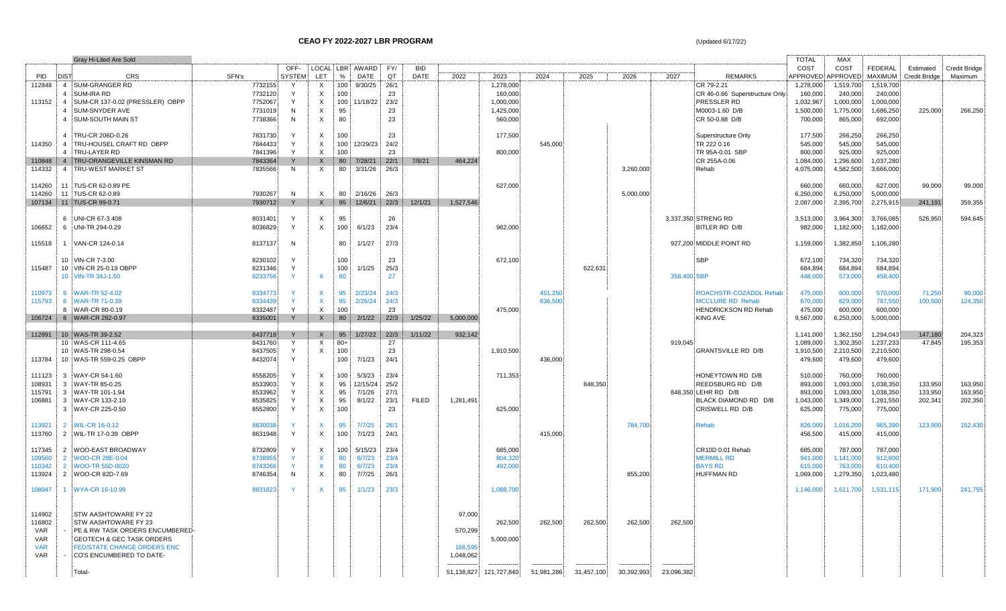**CEAO FY 2022-2027 LBR PROGRAM (Updated 6/17/22) CEAO FY 2022-2027 LBR PROGRAM** 

|            |                | Gray Hi-Lited Are Sold               |         |               |                           |                  |                     |      |              |           |                            |            |            |            |             |                                | <b>TOTAL</b>      | MAX       |                |                      |                      |
|------------|----------------|--------------------------------------|---------|---------------|---------------------------|------------------|---------------------|------|--------------|-----------|----------------------------|------------|------------|------------|-------------|--------------------------------|-------------------|-----------|----------------|----------------------|----------------------|
|            |                |                                      |         | OFF-          |                           |                  | LOCAL LBR AWARD FY/ |      | <b>BID</b>   |           |                            |            |            |            |             |                                | COST              | COST      | <b>FEDERAL</b> | Estimated            | <b>Credit Bridge</b> |
| <b>PID</b> | <b>DIST</b>    | <b>CRS</b>                           | SFN's   | <b>SYSTEM</b> | <b>LET</b>                | $\%$             | DATE                | QT   | DATE         | 2022      | 2023                       | 2024       | 2025       | 2026       | 2027        | <b>REMARKS</b>                 | APPROVED APPROVED |           | MAXIMUM        | <b>Credit Bridge</b> | Maximum              |
| 112848     |                | 4 SUM-GRANGER RD                     | 7732155 | Y             | X                         | 100              | 9/30/25             | 26/1 |              |           | 1,278,000                  |            |            |            |             | CR 79-2.21                     | 1,278,000         | 1,519,700 | 1,519,700      |                      |                      |
|            |                | 4 SUM-IRA RD                         | 7732120 |               | X                         | 100              |                     | 23   |              |           | 160,000                    |            |            |            |             | CR 46-0.66 Superstructure Only | 160,000           | 240,000   | 240,000        |                      |                      |
| 113152     |                | 4 SUM-CR 137-0.02 (PRESSLER) OBPP    | 7752067 |               | X                         |                  | 100 11/18/22        | 23/2 |              |           | 1,000,000                  |            |            |            |             | PRESSLER RD                    | 1,032,967         | 1,000,000 | 1,000,000      |                      |                      |
|            |                |                                      |         |               |                           |                  |                     |      |              |           |                            |            |            |            |             |                                |                   |           |                |                      |                      |
|            | $\overline{4}$ | SUM-SNYDER AVE                       | 7731019 | N             | $\times$                  | 95               |                     | 23   |              |           | 1,425,000                  |            |            |            |             | M0003-1.60 D/B                 | 1,500,000         | 1,775,000 | 1,686,250      | 225,000              | 266,250              |
|            |                | 4 SUM-SOUTH MAIN ST                  | 7738366 | N             | $\mathsf{X}$              | 80               |                     | 23   |              |           | 560,000                    |            |            |            |             | CR 50-0.88 D/B                 | 700,000           | 865,000   | 692,000        |                      |                      |
|            |                |                                      |         |               |                           |                  |                     |      |              |           |                            |            |            |            |             |                                |                   |           |                |                      |                      |
|            |                | 4 TRU-CR 206D-0.26                   | 7831730 |               | X                         | 100              |                     | 23   |              |           | 177,500                    |            |            |            |             | Superstructure Only            | 177,500           | 266,250   | 266,250        |                      |                      |
| 114350     |                | 4 TRU-HOUSEL CRAFT RD OBPP           | 7844433 |               | X                         | 100              | 12/29/23            | 24/2 |              |           |                            | 545,000    |            |            |             | TR 222 0.16                    | 545,000           | 545,000   | 545,000        |                      |                      |
|            |                | 4 TRU-LAYER RD                       | 7841396 | Y             | X                         | 100              |                     | 23   |              |           | 800,000                    |            |            |            |             | TR 95A-0.01 SBP                | 800,000           | 925,000   | 925,000        |                      |                      |
| 110848     |                | 4 TRU-ORANGEVILLE KINSMAN RD         | 7843364 | Y             | $\mathsf{X}$              | 80               | 7/28/21             | 22/1 | 7/8/21       | 464.224   |                            |            |            |            |             | CR 255A-0.06                   | 1,084,000         | 1,296,600 | 1,037,280      |                      |                      |
| 114332     |                | 4 TRU-WEST MARKET ST                 | 7835566 | N             | X                         | 80               | 3/31/26             | 26/3 |              |           |                            |            |            | 3,260,000  |             | Rehab                          | 4,075,000         | 4,582,500 | 3,666,000      |                      |                      |
|            |                |                                      |         |               |                           |                  |                     |      |              |           |                            |            |            |            |             |                                |                   |           |                |                      |                      |
|            |                |                                      |         |               |                           |                  |                     |      |              |           |                            |            |            |            |             |                                |                   |           |                |                      |                      |
| 114260     |                | 11 TUS-CR 62-0.89 PE                 |         |               |                           |                  |                     |      |              |           | 627,000                    |            |            |            |             |                                | 660,000           | 660,000   | 627,000        | 99,000               | 99,000               |
| 114260     |                | 11 TUS-CR 62-0.89                    | 7930267 | N             | X                         | 80               | 2/16/26             | 26/3 |              |           |                            |            |            | 5,000,000  |             |                                | 6,250,000         | 6,250,000 | 5,000,000      |                      |                      |
|            |                | 107134 11 TUS-CR 99-0.71             | 7930712 | Y             |                           |                  | $X = 95 = 12/6/21$  | 22/3 | 12/1/21      | 1.527.546 |                            |            |            |            |             |                                | 2,087,000         | 2,395,700 | 2,275,915      | 241,191              | 359,355              |
|            |                |                                      |         |               |                           |                  |                     |      |              |           |                            |            |            |            |             |                                |                   |           |                |                      |                      |
|            |                | 6 UNI-CR 67-3.408                    | 8031401 |               | X                         | 95               |                     | 26   |              |           |                            |            |            |            |             | 3,337,350 STRENG RD            | 3,513,000         | 3,964,300 | 3,766,085      | 526,950              | 594,645              |
| 106652     |                | 6 UNI-TR 294-0.29                    | 8036829 | Y             | $\mathsf{X}$              | 100              | 6/1/23              | 23/4 |              |           | 982,000                    |            |            |            |             | BITLER RD D/B                  | 982,000           | 1,182,000 | 1,182,000      |                      |                      |
|            |                |                                      |         |               |                           |                  |                     |      |              |           |                            |            |            |            |             |                                |                   |           |                |                      |                      |
| 115518     |                | 1 VAN-CR 124-0.14                    | 8137137 | N             |                           | 80               | 1/1/27              | 27/3 |              |           |                            |            |            |            |             | 927,200 MIDDLE POINT RD        | 1,159,000         | 1,382,850 | 1,106,280      |                      |                      |
|            |                |                                      |         |               |                           |                  |                     |      |              |           |                            |            |            |            |             |                                |                   |           |                |                      |                      |
|            |                | 10 VIN-CR 7-3.00                     | 8230102 | Y             |                           | 100              |                     | 23   |              |           | 672,100                    |            |            |            |             | <b>SBP</b>                     | 672,100           | 734,320   | 734,320        |                      |                      |
| 115487     |                | 10 VIN-CR 25-0.19 OBPP               | 8231346 | Y             |                           | 100              | 1/1/25              | 25/3 |              |           |                            |            | 622,631    |            |             |                                | 684,894           | 684,894   | 684,894        |                      |                      |
|            |                |                                      |         | $\mathsf{Y}$  |                           |                  |                     |      |              |           |                            |            |            |            |             |                                |                   |           |                |                      |                      |
|            |                | 10 VIN-TR 34J-1.50                   | 8233756 |               | X                         | 80               |                     | 27   |              |           |                            |            |            |            | 358,400 SBP |                                | 448,000           | 573,000   | 458,400        |                      |                      |
|            |                |                                      |         |               |                           |                  |                     |      |              |           |                            |            |            |            |             |                                |                   |           |                |                      |                      |
| 110973     |                | 8 WAR-TR 52-4.02                     | 8334773 |               | X                         | 95               | 2/23/24             | 24/3 |              |           |                            | 451,250    |            |            |             | ROACHSTR-COZADDL Rehab         | 475,000           | 600,000   | 570,000        | 71,250               | 90,000               |
| 115793     |                | 8 WAR-TR 71-0.39                     | 8334439 |               |                           | 95               | 2/26/24             | 24/3 |              |           |                            | 636,500    |            |            |             | <b>MCCLURE RD Rehab</b>        | 670,000           | 829,000   | 787,550        | 100,500              | 124,350              |
|            |                | 8 WAR-CR 80-0.19                     | 8332487 | Y             | X                         | 100              |                     | 23   |              |           | 475,000                    |            |            |            |             | <b>HENDRICKSON RD Rehab</b>    | 475,000           | 600,000   | 600,000        |                      |                      |
| 106724     |                | 8 WAR-CR 282-0.97                    | 8335001 |               | $\mathsf{X}$              |                  | 80 2/1/22           | 22/3 | 1/25/22      | 5,000,000 |                            |            |            |            |             | KING AVE                       | 9,567,000         | 6,250,000 | 5,000,000      |                      |                      |
|            |                |                                      |         |               |                           |                  |                     |      |              |           |                            |            |            |            |             |                                |                   |           |                |                      |                      |
| 112891     |                | 10 WAS-TR 39-2.52                    | 8437718 | Y             | X                         |                  | 95 1/27/22          | 22/3 | 1/11/22      | 932,142   |                            |            |            |            |             |                                | 1,141,000         | 1,362,150 | 1,294,043      | 147,180              | 204,323              |
|            |                | 10 WAS-CR 111-4.65                   | 8431760 | Y             | X                         | $80+$            |                     | 27   |              |           |                            |            |            |            | 919,045     |                                | 1,089,000         | 1,302,350 | 1,237,233      | 47,845               | 195,353              |
|            |                | 10 WAS-TR 298-0.54                   | 8437505 | Y             | X                         | 100              |                     | 23   |              |           | 1,910,500                  |            |            |            |             | GRANTSVILLE RD D/B             | 1,910,500         | 2,210,500 | 2,210,500      |                      |                      |
| 113784     |                | 10 WAS-TR 559-0.25 OBPP              | 8432074 | Y             |                           | 100 <sub>1</sub> | 7/1/23              | 24/1 |              |           |                            | 436,000    |            |            |             |                                | 479,600           | 479,600   | 479,600        |                      |                      |
|            |                |                                      |         |               |                           |                  |                     |      |              |           |                            |            |            |            |             |                                |                   |           |                |                      |                      |
|            |                |                                      |         |               |                           |                  |                     |      |              |           |                            |            |            |            |             |                                |                   |           |                |                      |                      |
| 111123     |                | 3 WAY-CR 54-1.60                     | 8558205 | Y             | X                         | 100              | 5/3/23              | 23/4 |              |           | 711,353                    |            |            |            |             | HONEYTOWN RD D/B               | 510,000           | 760,000   | 760,000        |                      |                      |
| 108931     |                | 3 WAY-TR 85-0.25                     | 8533903 | Y             | X                         | 95               | 12/15/24            | 25/2 |              |           |                            |            | 848,350    |            |             | REEDSBURG RD D/B               | 893,000           | 1,093,000 | 1,038,350      | 133,950              | 163,950              |
| 115791     |                | 3 WAY-TR 101-1.94                    | 8533962 |               | X                         | 95               | 7/1/26              | 27/1 |              |           |                            |            |            |            |             | 848,350 LEHR RD D/B            | 893,000           | 1,093,000 | 1,038,350      | 133,950              | 163,950              |
| 106881     |                | 3 WAY-CR 133-2.10                    | 8535825 | Y             | X                         | 95               | 8/1/22              | 23/1 | <b>FILED</b> | 1,281,491 |                            |            |            |            |             | BLACK DIAMOND RD D/B           | 1,043,000         | 1,349,000 | 1,281,550      | 202,341              | 202,350              |
|            |                | 3 WAY-CR 225-0.50                    | 8552800 | Y             | $\boldsymbol{\mathsf{X}}$ | 100              |                     | 23   |              |           | 625,000                    |            |            |            |             | CRISWELL RD D/B                | 625,000           | 775,000   | 775,000        |                      |                      |
|            |                |                                      |         |               |                           |                  |                     |      |              |           |                            |            |            |            |             |                                |                   |           |                |                      |                      |
| 113921     |                | 2 WIL-CR 16-0.12                     | 8630038 |               |                           | 95               | 7/7/25              | 26/1 |              |           |                            |            |            | 784,700    |             | Rehab                          | 826,000           | 1,016,200 | 965,390        | 123,900              | 152,430              |
| 113760     |                | 2 WIL-TR 17-0.39 OBPP                | 8631948 | Y             | $\mathsf{X}$              | 100              | 7/1/23              | 24/1 |              |           |                            | 415,000    |            |            |             |                                | 456,500           | 415,000   | 415,000        |                      |                      |
|            |                |                                      |         |               |                           |                  |                     |      |              |           |                            |            |            |            |             |                                |                   |           |                |                      |                      |
| 117345     |                | 2 WOO-EAST BROADWAY                  | 8732809 |               | X                         | 100              | 5/15/23             | 23/4 |              |           | 685,000                    |            |            |            |             | CR10D 0.01 Rehab               | 685,000           | 787,000   | 787,000        |                      |                      |
| 109560     |                | 2 WOO-CR 28E-0.04                    | 8738955 |               | $\mathsf{X}$              | 80               | 6/7/23              | 23/4 |              |           | 804,320                    |            |            |            |             | <b>MERMILL RD</b>              | 941,000           | 1,141,000 | 912,800        |                      |                      |
| 110342     |                | 2 WOO-TR 55D-0020                    | 8743266 |               | $\mathsf{X}$              | 80               | 6/7/23              | 23/4 |              |           | 492,000                    |            |            |            |             | <b>BAYS RD</b>                 | 615,000           | 763,000   | 610,400        |                      |                      |
| 113924     |                | 2 WOO-CR 82D-7.69                    | 8746354 | N             | X                         | 80               | 7/7/25              | 26/1 |              |           |                            |            |            | 855,200    |             | <b>HUFFMAN RD</b>              | 1,069,000         | 1,279,350 | 1,023,480      |                      |                      |
|            |                |                                      |         |               |                           |                  |                     |      |              |           |                            |            |            |            |             |                                |                   |           |                |                      |                      |
| 108947     |                | 1 WYA-CR 16-10.99                    | 8831823 |               | X.                        | 95               | 1/1/23              | 23/3 |              |           | 1,088,700                  |            |            |            |             |                                | 1,146,000         | 1,611,700 | 1,531,115      | 171,900              | 241,755              |
|            |                |                                      |         |               |                           |                  |                     |      |              |           |                            |            |            |            |             |                                |                   |           |                |                      |                      |
|            |                |                                      |         |               |                           |                  |                     |      |              |           |                            |            |            |            |             |                                |                   |           |                |                      |                      |
|            |                |                                      |         |               |                           |                  |                     |      |              |           |                            |            |            |            |             |                                |                   |           |                |                      |                      |
| 114902     |                | <b>STW AASHTOWARE FY 22</b>          |         |               |                           |                  |                     |      |              | 97,000    |                            |            |            |            |             |                                |                   |           |                |                      |                      |
| 116802     |                | STW AASHTOWARE FY 23                 |         |               |                           |                  |                     |      |              |           | 262,500                    | 262,500    | 262,500    | 262,500    | 262,500     |                                |                   |           |                |                      |                      |
| VAR        |                | PE & RW TASK ORDERS ENCUMBERED-      |         |               |                           |                  |                     |      |              | 570,299   |                            |            |            |            |             |                                |                   |           |                |                      |                      |
| <b>VAR</b> |                | <b>GEOTECH &amp; GEC TASK ORDERS</b> |         |               |                           |                  |                     |      |              |           | 5,000,000                  |            |            |            |             |                                |                   |           |                |                      |                      |
| <b>VAR</b> |                | <b>FED/STATE CHANGE ORDERS ENC</b>   |         |               |                           |                  |                     |      |              | 166,595   |                            |            |            |            |             |                                |                   |           |                |                      |                      |
| <b>VAR</b> |                | CO'S ENCUMBERED TO DATE-             |         |               |                           |                  |                     |      |              | 1,048,062 |                            |            |            |            |             |                                |                   |           |                |                      |                      |
|            |                |                                      |         |               |                           |                  |                     |      |              |           |                            |            |            |            |             |                                |                   |           |                |                      |                      |
|            |                |                                      |         |               |                           |                  |                     |      |              |           |                            |            |            |            |             |                                |                   |           |                |                      |                      |
|            |                | Total-                               |         |               |                           |                  |                     |      |              |           | 51, 138, 827 121, 727, 840 | 51,981,286 | 31,457,100 | 30,392,993 | 23,096,382  |                                |                   |           |                |                      |                      |